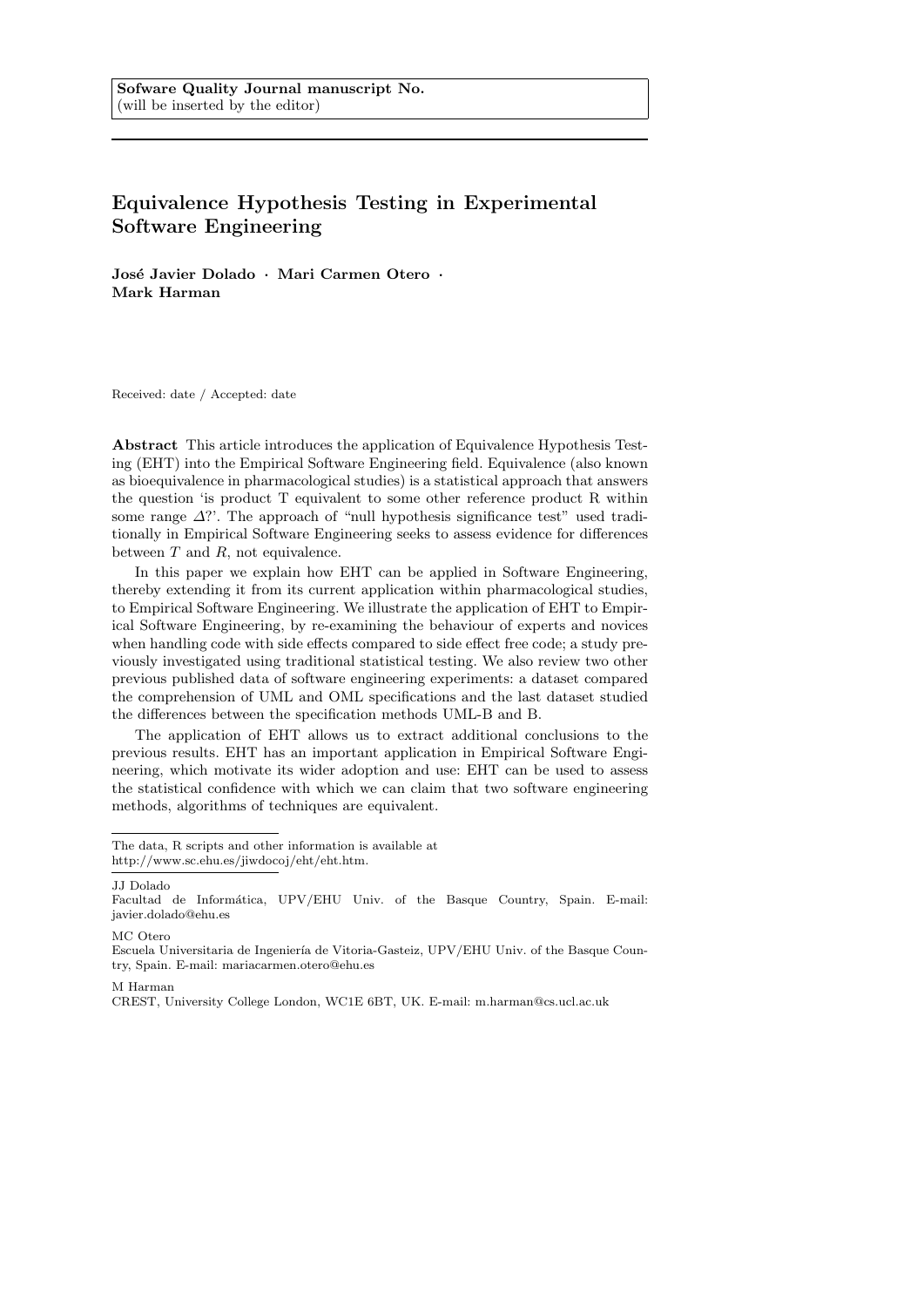# Equivalence Hypothesis Testing in Experimental Software Engineering

José Javier Dolado · Mari Carmen Otero · Mark Harman

Received: date / Accepted: date

Abstract This article introduces the application of Equivalence Hypothesis Testing (EHT) into the Empirical Software Engineering field. Equivalence (also known as bioequivalence in pharmacological studies) is a statistical approach that answers the question 'is product T equivalent to some other reference product R within some range  $\Delta$ ?'. The approach of "null hypothesis significance test" used traditionally in Empirical Software Engineering seeks to assess evidence for differences between  $T$  and  $R$ , not equivalence.

In this paper we explain how EHT can be applied in Software Engineering, thereby extending it from its current application within pharmacological studies, to Empirical Software Engineering. We illustrate the application of EHT to Empirical Software Engineering, by re-examining the behaviour of experts and novices when handling code with side effects compared to side effect free code; a study previously investigated using traditional statistical testing. We also review two other previous published data of software engineering experiments: a dataset compared the comprehension of UML and OML specifications and the last dataset studied the differences between the specification methods UML-B and B.

The application of EHT allows us to extract additional conclusions to the previous results. EHT has an important application in Empirical Software Engineering, which motivate its wider adoption and use: EHT can be used to assess the statistical confidence with which we can claim that two software engineering methods, algorithms of techniques are equivalent.

JJ Dolado

MC Otero

#### M Harman

The data, R scripts and other information is available at http://www.sc.ehu.es/jiwdocoj/eht/eht.htm.

Facultad de Informática, UPV/EHU Univ. of the Basque Country, Spain. E-mail: javier.dolado@ehu.es

Escuela Universitaria de Ingeniería de Vitoria-Gasteiz, UPV/EHU Univ. of the Basque Country, Spain. E-mail: mariacarmen.otero@ehu.es

CREST, University College London, WC1E 6BT, UK. E-mail: m.harman@cs.ucl.ac.uk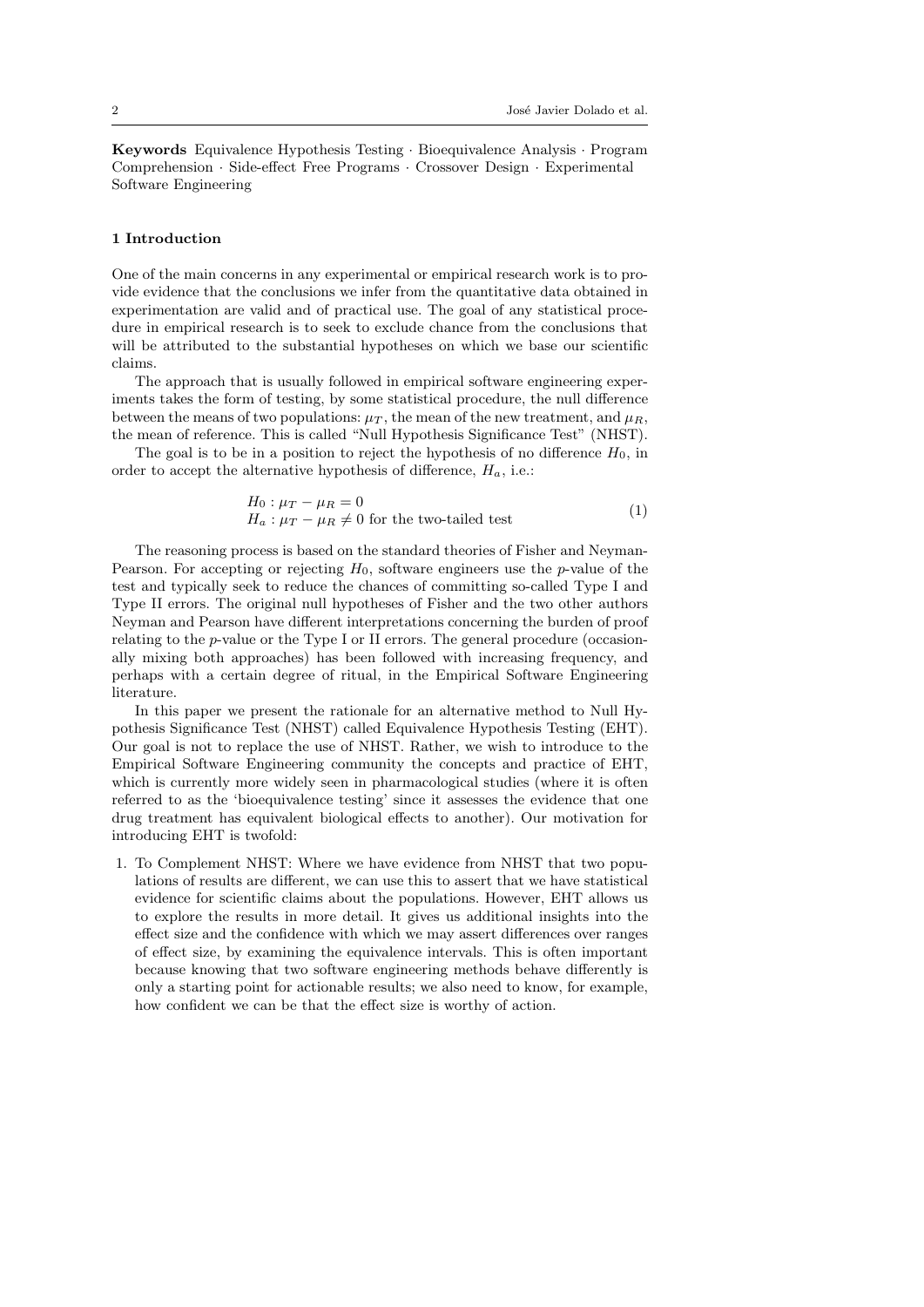Keywords Equivalence Hypothesis Testing · Bioequivalence Analysis · Program Comprehension · Side-effect Free Programs · Crossover Design · Experimental Software Engineering

### 1 Introduction

One of the main concerns in any experimental or empirical research work is to provide evidence that the conclusions we infer from the quantitative data obtained in experimentation are valid and of practical use. The goal of any statistical procedure in empirical research is to seek to exclude chance from the conclusions that will be attributed to the substantial hypotheses on which we base our scientific claims.

The approach that is usually followed in empirical software engineering experiments takes the form of testing, by some statistical procedure, the null difference between the means of two populations:  $\mu_T$ , the mean of the new treatment, and  $\mu_R$ , the mean of reference. This is called "Null Hypothesis Significance Test" (NHST).

The goal is to be in a position to reject the hypothesis of no difference  $H_0$ , in order to accept the alternative hypothesis of difference,  $H_a$ , i.e.:

$$
H_0: \mu_T - \mu_R = 0
$$
  
\n
$$
H_a: \mu_T - \mu_R \neq 0 \text{ for the two-tailed test}
$$
 (1)

The reasoning process is based on the standard theories of Fisher and Neyman-Pearson. For accepting or rejecting  $H_0$ , software engineers use the p-value of the test and typically seek to reduce the chances of committing so-called Type I and Type II errors. The original null hypotheses of Fisher and the two other authors Neyman and Pearson have different interpretations concerning the burden of proof relating to the p-value or the Type I or II errors. The general procedure (occasionally mixing both approaches) has been followed with increasing frequency, and perhaps with a certain degree of ritual, in the Empirical Software Engineering literature.

In this paper we present the rationale for an alternative method to Null Hypothesis Significance Test (NHST) called Equivalence Hypothesis Testing (EHT). Our goal is not to replace the use of NHST. Rather, we wish to introduce to the Empirical Software Engineering community the concepts and practice of EHT, which is currently more widely seen in pharmacological studies (where it is often referred to as the 'bioequivalence testing' since it assesses the evidence that one drug treatment has equivalent biological effects to another). Our motivation for introducing EHT is twofold:

1. To Complement NHST: Where we have evidence from NHST that two populations of results are different, we can use this to assert that we have statistical evidence for scientific claims about the populations. However, EHT allows us to explore the results in more detail. It gives us additional insights into the effect size and the confidence with which we may assert differences over ranges of effect size, by examining the equivalence intervals. This is often important because knowing that two software engineering methods behave differently is only a starting point for actionable results; we also need to know, for example, how confident we can be that the effect size is worthy of action.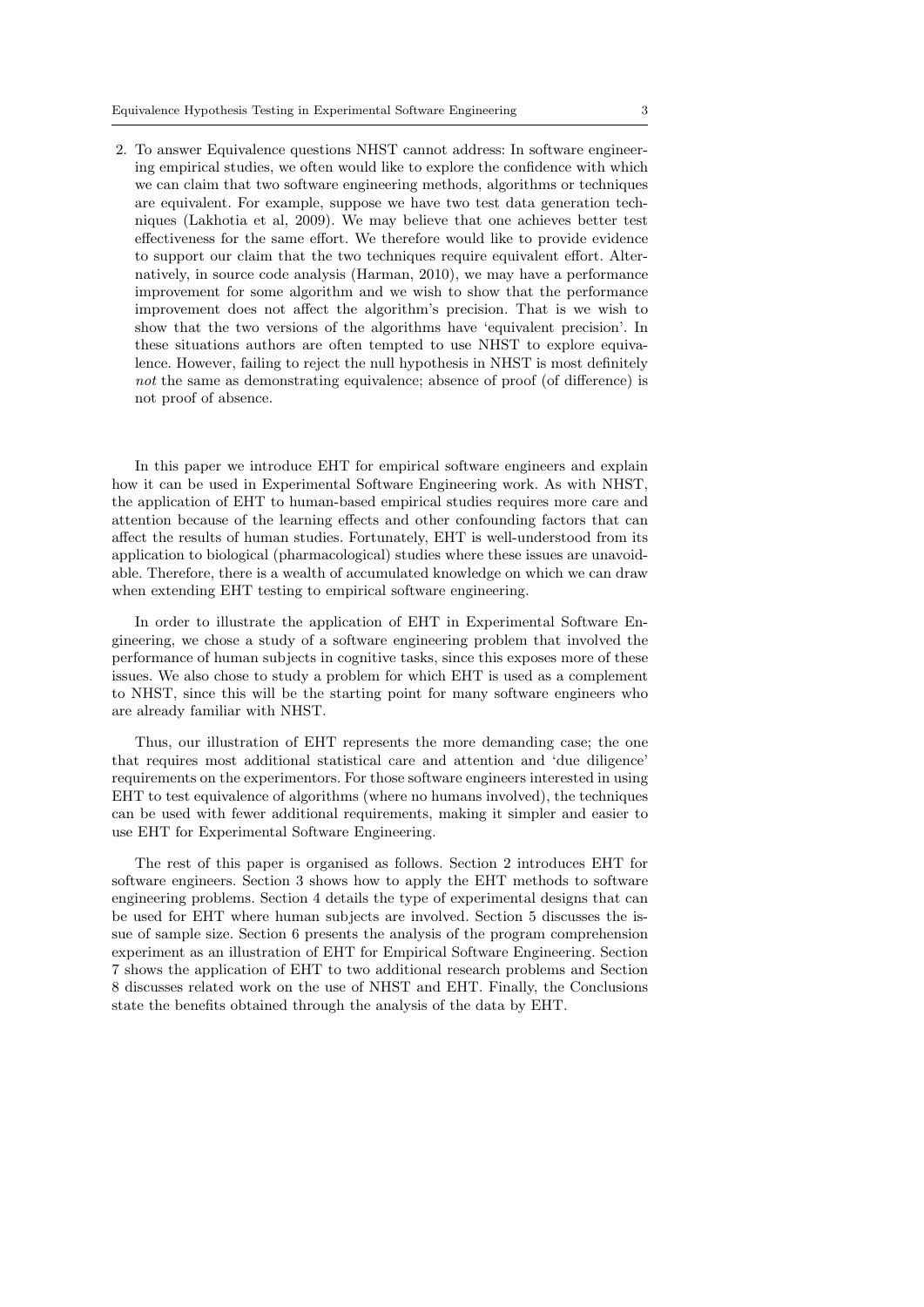2. To answer Equivalence questions NHST cannot address: In software engineering empirical studies, we often would like to explore the confidence with which we can claim that two software engineering methods, algorithms or techniques are equivalent. For example, suppose we have two test data generation techniques (Lakhotia et al, 2009). We may believe that one achieves better test effectiveness for the same effort. We therefore would like to provide evidence to support our claim that the two techniques require equivalent effort. Alternatively, in source code analysis (Harman, 2010), we may have a performance improvement for some algorithm and we wish to show that the performance improvement does not affect the algorithm's precision. That is we wish to show that the two versions of the algorithms have 'equivalent precision'. In these situations authors are often tempted to use NHST to explore equivalence. However, failing to reject the null hypothesis in NHST is most definitely not the same as demonstrating equivalence; absence of proof (of difference) is not proof of absence.

In this paper we introduce EHT for empirical software engineers and explain how it can be used in Experimental Software Engineering work. As with NHST, the application of EHT to human-based empirical studies requires more care and attention because of the learning effects and other confounding factors that can affect the results of human studies. Fortunately, EHT is well-understood from its application to biological (pharmacological) studies where these issues are unavoidable. Therefore, there is a wealth of accumulated knowledge on which we can draw when extending EHT testing to empirical software engineering.

In order to illustrate the application of EHT in Experimental Software Engineering, we chose a study of a software engineering problem that involved the performance of human subjects in cognitive tasks, since this exposes more of these issues. We also chose to study a problem for which EHT is used as a complement to NHST, since this will be the starting point for many software engineers who are already familiar with NHST.

Thus, our illustration of EHT represents the more demanding case; the one that requires most additional statistical care and attention and 'due diligence' requirements on the experimentors. For those software engineers interested in using EHT to test equivalence of algorithms (where no humans involved), the techniques can be used with fewer additional requirements, making it simpler and easier to use EHT for Experimental Software Engineering.

The rest of this paper is organised as follows. Section 2 introduces EHT for software engineers. Section 3 shows how to apply the EHT methods to software engineering problems. Section 4 details the type of experimental designs that can be used for EHT where human subjects are involved. Section 5 discusses the issue of sample size. Section 6 presents the analysis of the program comprehension experiment as an illustration of EHT for Empirical Software Engineering. Section 7 shows the application of EHT to two additional research problems and Section 8 discusses related work on the use of NHST and EHT. Finally, the Conclusions state the benefits obtained through the analysis of the data by EHT.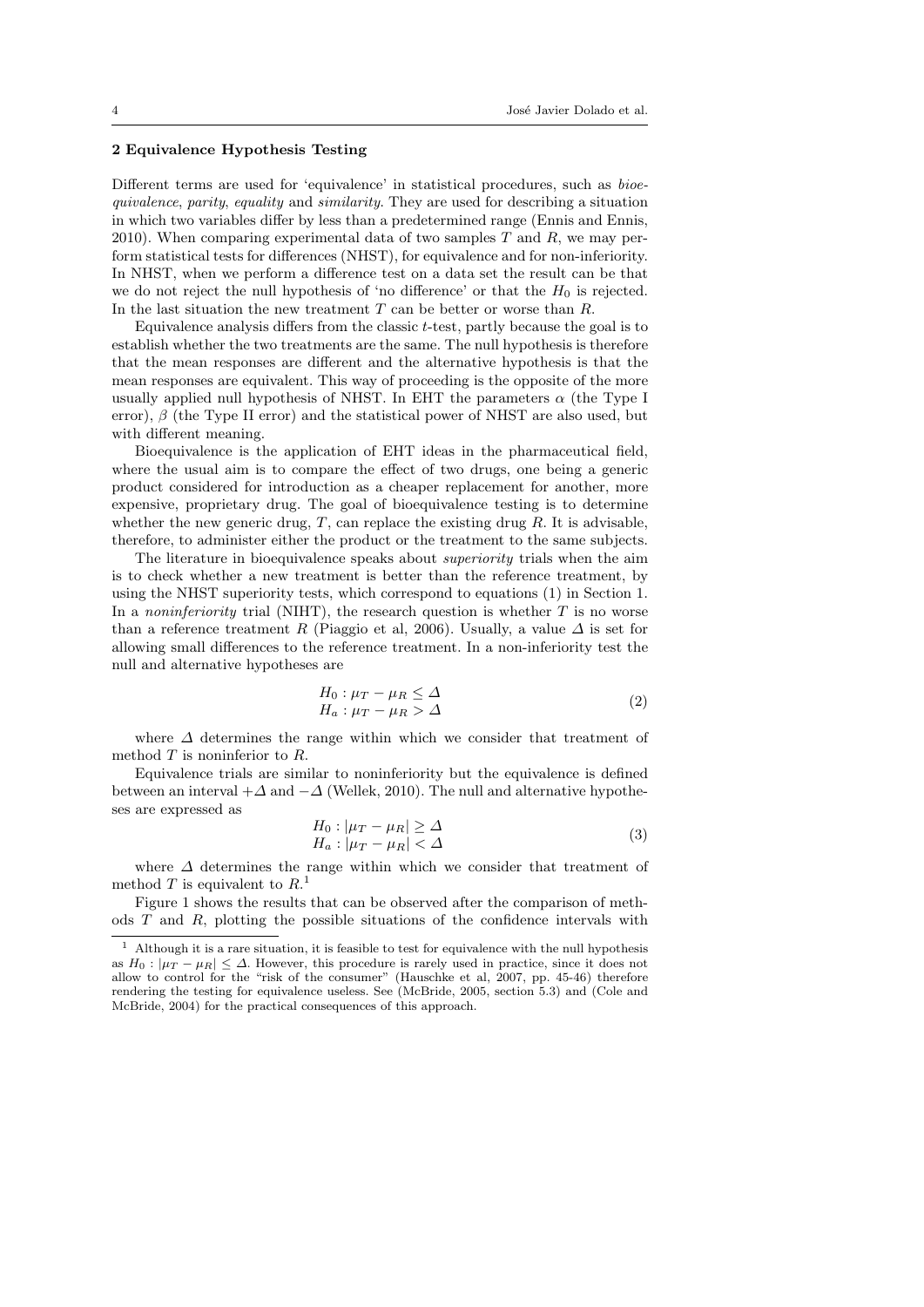#### 2 Equivalence Hypothesis Testing

Different terms are used for 'equivalence' in statistical procedures, such as bioequivalence, parity, equality and similarity. They are used for describing a situation in which two variables differ by less than a predetermined range (Ennis and Ennis, 2010). When comparing experimental data of two samples  $T$  and  $R$ , we may perform statistical tests for differences (NHST), for equivalence and for non-inferiority. In NHST, when we perform a difference test on a data set the result can be that we do not reject the null hypothesis of 'no difference' or that the  $H_0$  is rejected. In the last situation the new treatment  $T$  can be better or worse than  $R$ .

Equivalence analysis differs from the classic  $t$ -test, partly because the goal is to establish whether the two treatments are the same. The null hypothesis is therefore that the mean responses are different and the alternative hypothesis is that the mean responses are equivalent. This way of proceeding is the opposite of the more usually applied null hypothesis of NHST. In EHT the parameters  $\alpha$  (the Type I error),  $\beta$  (the Type II error) and the statistical power of NHST are also used, but with different meaning.

Bioequivalence is the application of EHT ideas in the pharmaceutical field, where the usual aim is to compare the effect of two drugs, one being a generic product considered for introduction as a cheaper replacement for another, more expensive, proprietary drug. The goal of bioequivalence testing is to determine whether the new generic drug,  $T$ , can replace the existing drug  $R$ . It is advisable, therefore, to administer either the product or the treatment to the same subjects.

The literature in bioequivalence speaks about *superiority* trials when the aim is to check whether a new treatment is better than the reference treatment, by using the NHST superiority tests, which correspond to equations (1) in Section 1. In a *noninferiority* trial (NIHT), the research question is whether  $T$  is no worse than a reference treatment R (Piaggio et al, 2006). Usually, a value  $\Delta$  is set for allowing small differences to the reference treatment. In a non-inferiority test the null and alternative hypotheses are

$$
H_0: \mu_T - \mu_R \le \Delta
$$
  
\n
$$
H_a: \mu_T - \mu_R > \Delta
$$
\n(2)

where ∆ determines the range within which we consider that treatment of method  $T$  is noninferior to  $R$ .

Equivalence trials are similar to noninferiority but the equivalence is defined between an interval  $+\Delta$  and  $-\Delta$  (Wellek, 2010). The null and alternative hypotheses are expressed as

$$
H_0: |\mu_T - \mu_R| \ge \Delta
$$
  
\n
$$
H_a: |\mu_T - \mu_R| < \Delta
$$
\n(3)

where ∆ determines the range within which we consider that treatment of method T is equivalent to  $R<sup>1</sup>$ .

Figure 1 shows the results that can be observed after the comparison of methods T and R, plotting the possible situations of the confidence intervals with

 $1$  Although it is a rare situation, it is feasible to test for equivalence with the null hypothesis as  $H_0: |\mu_T - \mu_R| \leq \Delta$ . However, this procedure is rarely used in practice, since it does not allow to control for the "risk of the consumer" (Hauschke et al, 2007, pp. 45-46) therefore rendering the testing for equivalence useless. See (McBride, 2005, section 5.3) and (Cole and McBride, 2004) for the practical consequences of this approach.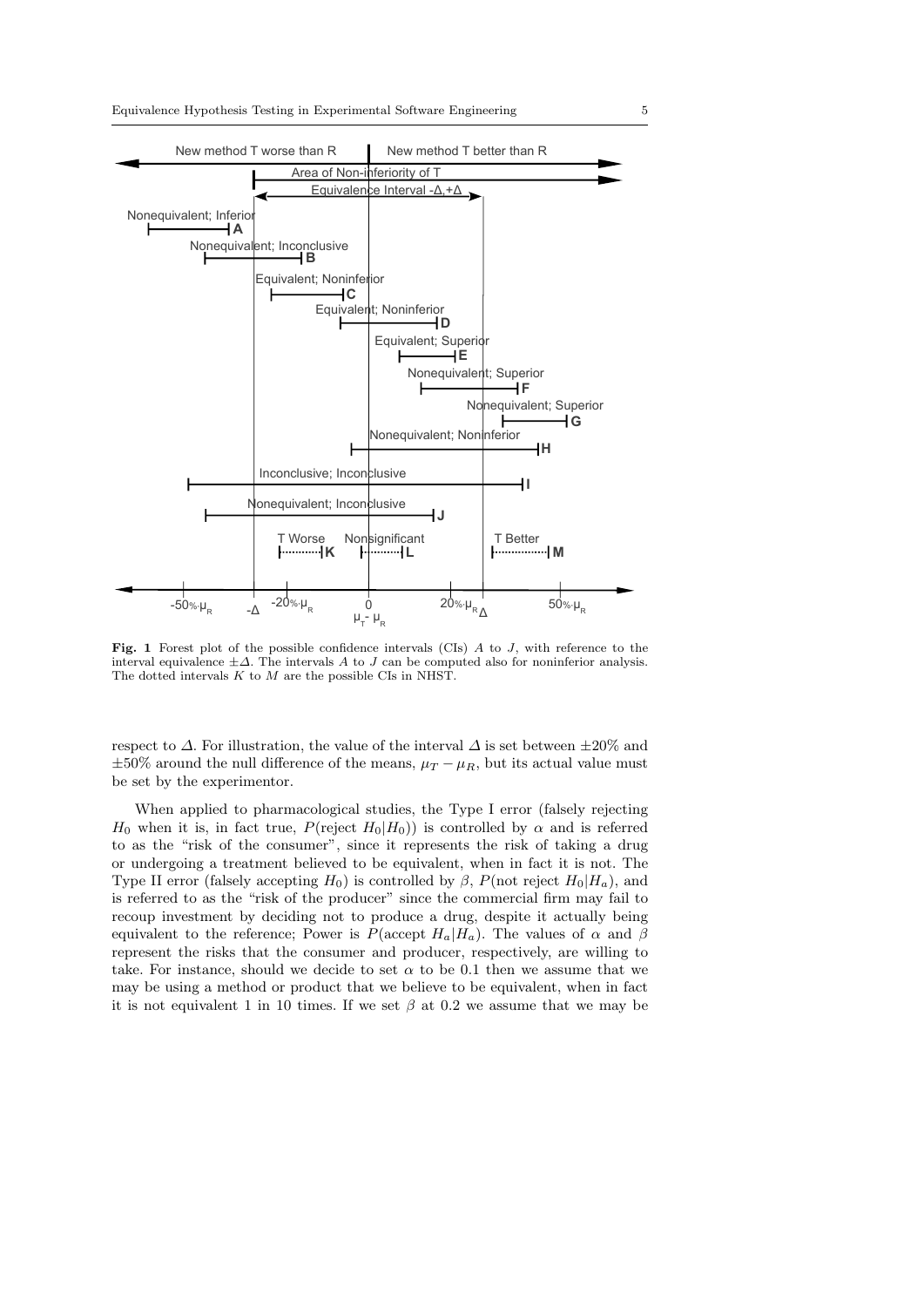

Fig. 1 Forest plot of the possible confidence intervals (CIs) A to J, with reference to the interval equivalence  $\pm\Delta$ . The intervals A to J can be computed also for noninferior analysis. The dotted intervals  $K$  to  $M$  are the possible CIs in NHST.

respect to  $\Delta$ . For illustration, the value of the interval  $\Delta$  is set between  $\pm 20\%$  and  $\pm 50\%$  around the null difference of the means,  $\mu_T - \mu_R$ , but its actual value must be set by the experimentor.

When applied to pharmacological studies, the Type I error (falsely rejecting H<sub>0</sub> when it is, in fact true,  $P(\text{reject } H_0|H_0)$  is controlled by  $\alpha$  and is referred to as the "risk of the consumer", since it represents the risk of taking a drug or undergoing a treatment believed to be equivalent, when in fact it is not. The Type II error (falsely accepting  $H_0$ ) is controlled by  $\beta$ ,  $P(\text{not reject } H_0|H_a)$ , and is referred to as the "risk of the producer" since the commercial firm may fail to recoup investment by deciding not to produce a drug, despite it actually being equivalent to the reference; Power is  $P(\text{accept } H_a | H_a)$ . The values of  $\alpha$  and  $\beta$ represent the risks that the consumer and producer, respectively, are willing to take. For instance, should we decide to set  $\alpha$  to be 0.1 then we assume that we may be using a method or product that we believe to be equivalent, when in fact it is not equivalent 1 in 10 times. If we set  $\beta$  at 0.2 we assume that we may be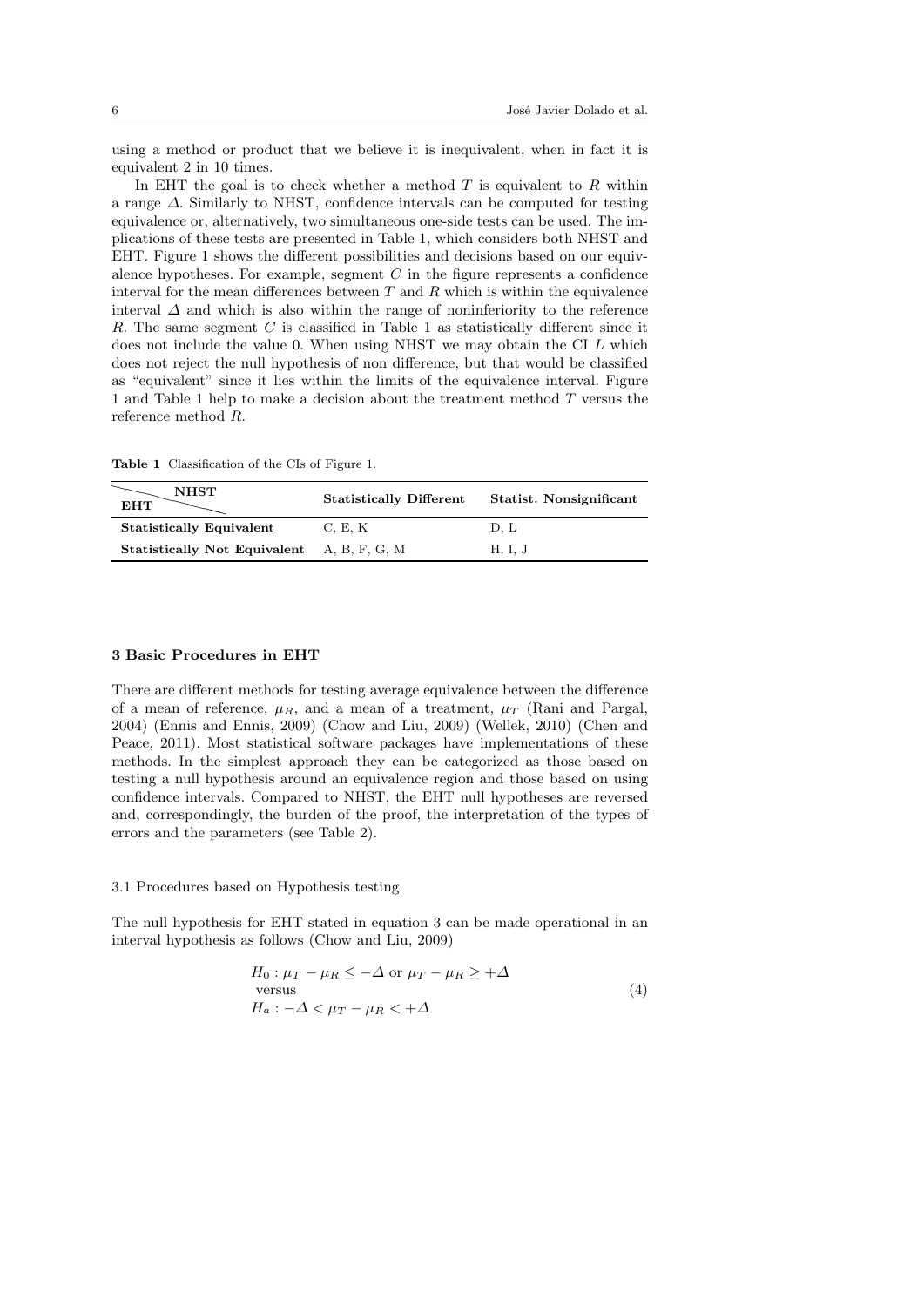using a method or product that we believe it is inequivalent, when in fact it is equivalent 2 in 10 times.

In EHT the goal is to check whether a method  $T$  is equivalent to  $R$  within a range ∆. Similarly to NHST, confidence intervals can be computed for testing equivalence or, alternatively, two simultaneous one-side tests can be used. The implications of these tests are presented in Table 1, which considers both NHST and EHT. Figure 1 shows the different possibilities and decisions based on our equivalence hypotheses. For example, segment  $C$  in the figure represents a confidence interval for the mean differences between  $T$  and  $R$  which is within the equivalence interval  $\Delta$  and which is also within the range of noninferiority to the reference  $R$ . The same segment  $C$  is classified in Table 1 as statistically different since it does not include the value 0. When using NHST we may obtain the CI L which does not reject the null hypothesis of non difference, but that would be classified as "equivalent" since it lies within the limits of the equivalence interval. Figure 1 and Table 1 help to make a decision about the treatment method T versus the reference method R.

Table 1 Classification of the CIs of Figure 1.

| <b>NHST</b><br><b>EHT</b>                         | <b>Statistically Different</b> | Statist. Nonsignificant |
|---------------------------------------------------|--------------------------------|-------------------------|
| <b>Statistically Equivalent</b>                   | C, E, K                        | D. L                    |
| <b>Statistically Not Equivalent</b> A, B, F, G, M |                                | H, I, J                 |

#### 3 Basic Procedures in EHT

There are different methods for testing average equivalence between the difference of a mean of reference,  $\mu_R$ , and a mean of a treatment,  $\mu_T$  (Rani and Pargal, 2004) (Ennis and Ennis, 2009) (Chow and Liu, 2009) (Wellek, 2010) (Chen and Peace, 2011). Most statistical software packages have implementations of these methods. In the simplest approach they can be categorized as those based on testing a null hypothesis around an equivalence region and those based on using confidence intervals. Compared to NHST, the EHT null hypotheses are reversed and, correspondingly, the burden of the proof, the interpretation of the types of errors and the parameters (see Table 2).

#### 3.1 Procedures based on Hypothesis testing

The null hypothesis for EHT stated in equation 3 can be made operational in an interval hypothesis as follows (Chow and Liu, 2009)

$$
H_0: \mu_T - \mu_R \le -\Delta \text{ or } \mu_T - \mu_R \ge +\Delta
$$
  
versus  

$$
H_a: -\Delta < \mu_T - \mu_R < +\Delta
$$
 (4)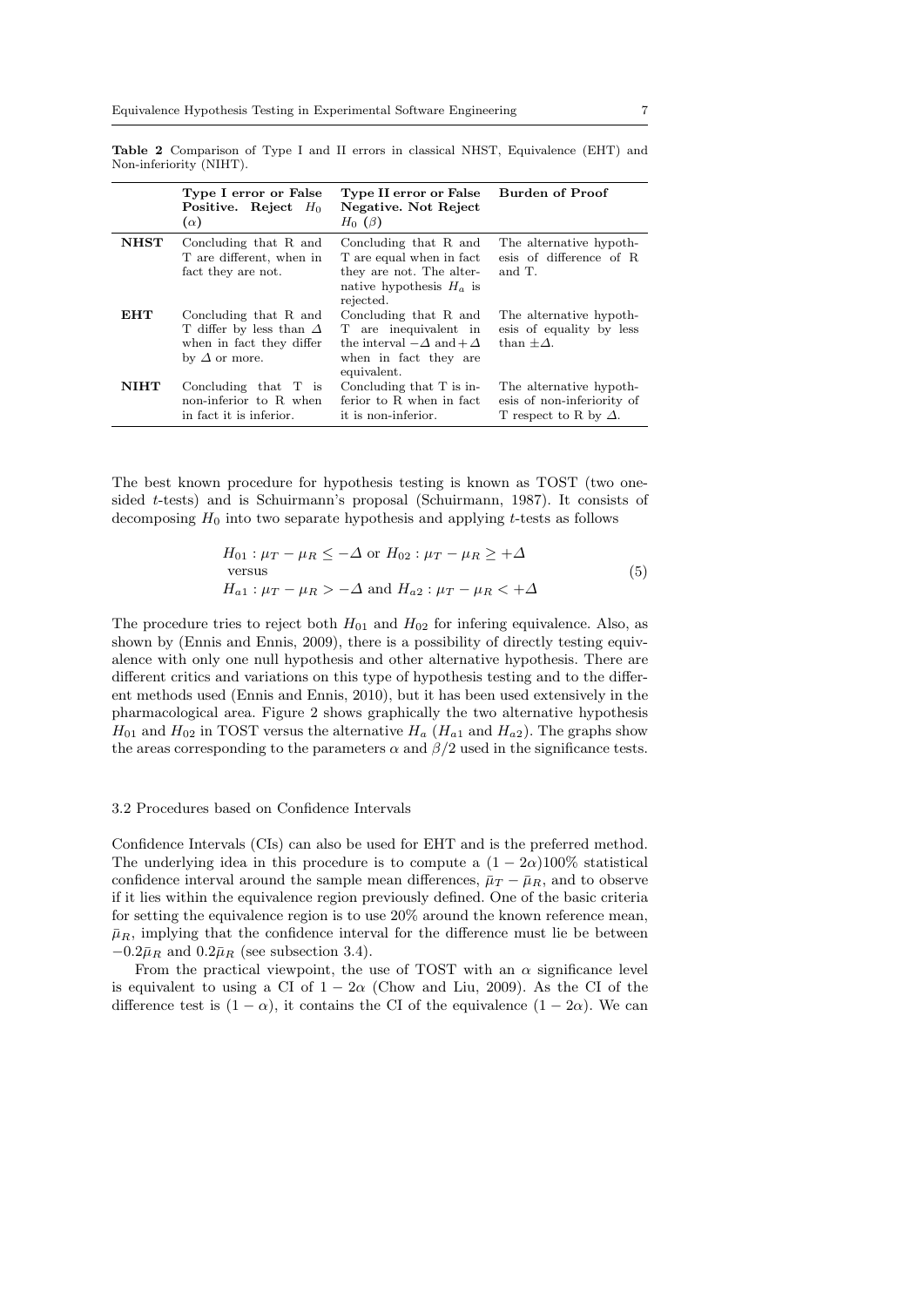|             | Type I error or False<br>Positive. Reject $H_0$<br>$(\alpha)$                                               | Type II error or False<br>Negative. Not Reject<br>$H_0$ ( $\beta$ )                                                            | Burden of Proof                                                                       |
|-------------|-------------------------------------------------------------------------------------------------------------|--------------------------------------------------------------------------------------------------------------------------------|---------------------------------------------------------------------------------------|
| NHST        | Concluding that R and<br>T are different, when in<br>fact they are not.                                     | Concluding that R and<br>T are equal when in fact<br>they are not. The alter-<br>native hypothesis $H_a$ is<br>rejected.       | The alternative hypoth-<br>esis of difference of R<br>and T.                          |
| <b>EHT</b>  | Concluding that R and<br>T differ by less than $\Delta$<br>when in fact they differ<br>by $\Delta$ or more. | Concluding that R and<br>T are inequivalent in<br>the interval $-\Delta$ and $+\Delta$<br>when in fact they are<br>equivalent. | The alternative hypoth-<br>esis of equality by less<br>than $+\Delta$ .               |
| <b>NIHT</b> | Concluding that $T$ is<br>non-inferior to R when<br>in fact it is inferior.                                 | Concluding that $T$ is in-<br>ferior to R when in fact<br>it is non-inferior.                                                  | The alternative hypoth-<br>esis of non-inferiority of<br>T respect to R by $\Delta$ . |

Table 2 Comparison of Type I and II errors in classical NHST, Equivalence (EHT) and Non-inferiority (NIHT).

The best known procedure for hypothesis testing is known as TOST (two onesided t-tests) and is Schuirmann's proposal (Schuirmann, 1987). It consists of decomposing  $H_0$  into two separate hypothesis and applying t-tests as follows

$$
H_{01} : \mu_T - \mu_R \le -\Delta \text{ or } H_{02} : \mu_T - \mu_R \ge +\Delta
$$
  
versus  

$$
H_{a1} : \mu_T - \mu_R > -\Delta \text{ and } H_{a2} : \mu_T - \mu_R < +\Delta
$$
 (5)

The procedure tries to reject both  $H_{01}$  and  $H_{02}$  for infering equivalence. Also, as shown by (Ennis and Ennis, 2009), there is a possibility of directly testing equivalence with only one null hypothesis and other alternative hypothesis. There are different critics and variations on this type of hypothesis testing and to the different methods used (Ennis and Ennis, 2010), but it has been used extensively in the pharmacological area. Figure 2 shows graphically the two alternative hypothesis  $H_{01}$  and  $H_{02}$  in TOST versus the alternative  $H_a$  ( $H_{a1}$  and  $H_{a2}$ ). The graphs show the areas corresponding to the parameters  $\alpha$  and  $\beta/2$  used in the significance tests.

#### 3.2 Procedures based on Confidence Intervals

Confidence Intervals (CIs) can also be used for EHT and is the preferred method. The underlying idea in this procedure is to compute a  $(1 - 2\alpha)100\%$  statistical confidence interval around the sample mean differences,  $\bar{\mu}_T - \bar{\mu}_R$ , and to observe if it lies within the equivalence region previously defined. One of the basic criteria for setting the equivalence region is to use 20% around the known reference mean,  $\bar{\mu}_R$ , implying that the confidence interval for the difference must lie be between  $-0.2\bar{\mu}_R$  and  $0.2\bar{\mu}_R$  (see subsection 3.4).

From the practical viewpoint, the use of TOST with an  $\alpha$  significance level is equivalent to using a CI of  $1 - 2\alpha$  (Chow and Liu, 2009). As the CI of the difference test is  $(1 - \alpha)$ , it contains the CI of the equivalence  $(1 - 2\alpha)$ . We can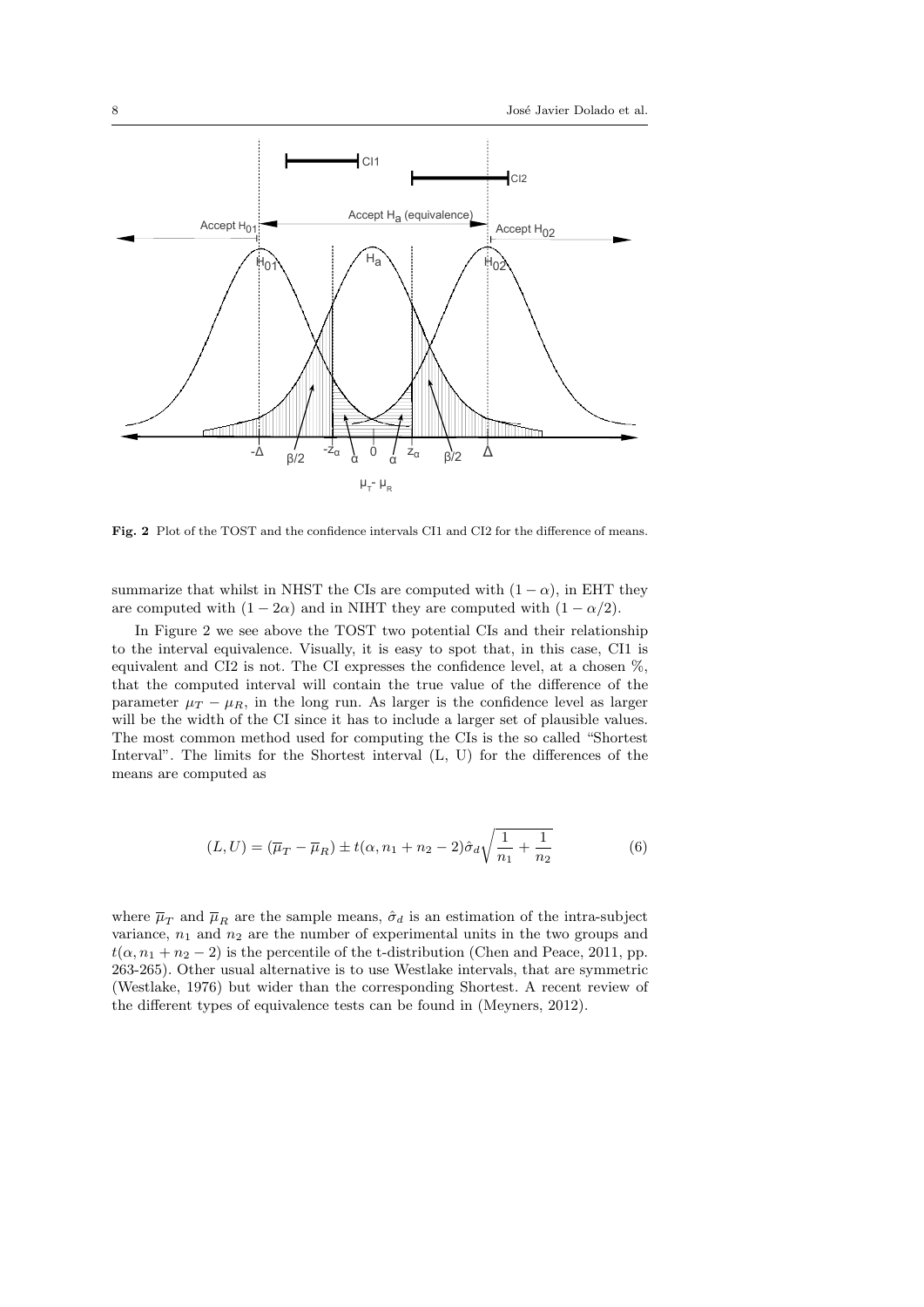

Fig. 2 Plot of the TOST and the confidence intervals CI1 and CI2 for the difference of means.

summarize that whilst in NHST the CIs are computed with  $(1 - \alpha)$ , in EHT they are computed with  $(1 - 2\alpha)$  and in NIHT they are computed with  $(1 - \alpha/2)$ .

In Figure 2 we see above the TOST two potential CIs and their relationship to the interval equivalence. Visually, it is easy to spot that, in this case, CI1 is equivalent and CI2 is not. The CI expresses the confidence level, at a chosen %, that the computed interval will contain the true value of the difference of the parameter  $\mu_T - \mu_R$ , in the long run. As larger is the confidence level as larger will be the width of the CI since it has to include a larger set of plausible values. The most common method used for computing the CIs is the so called "Shortest Interval". The limits for the Shortest interval (L, U) for the differences of the means are computed as

$$
(L, U) = (\overline{\mu}_T - \overline{\mu}_R) \pm t(\alpha, n_1 + n_2 - 2)\hat{\sigma}_d \sqrt{\frac{1}{n_1} + \frac{1}{n_2}}
$$
(6)

where  $\overline{\mu}_{T}$  and  $\overline{\mu}_{R}$  are the sample means,  $\hat{\sigma}_{d}$  is an estimation of the intra-subject variance,  $n_1$  and  $n_2$  are the number of experimental units in the two groups and  $t(\alpha, n_1 + n_2 - 2)$  is the percentile of the t-distribution (Chen and Peace, 2011, pp. 263-265). Other usual alternative is to use Westlake intervals, that are symmetric (Westlake, 1976) but wider than the corresponding Shortest. A recent review of the different types of equivalence tests can be found in (Meyners, 2012).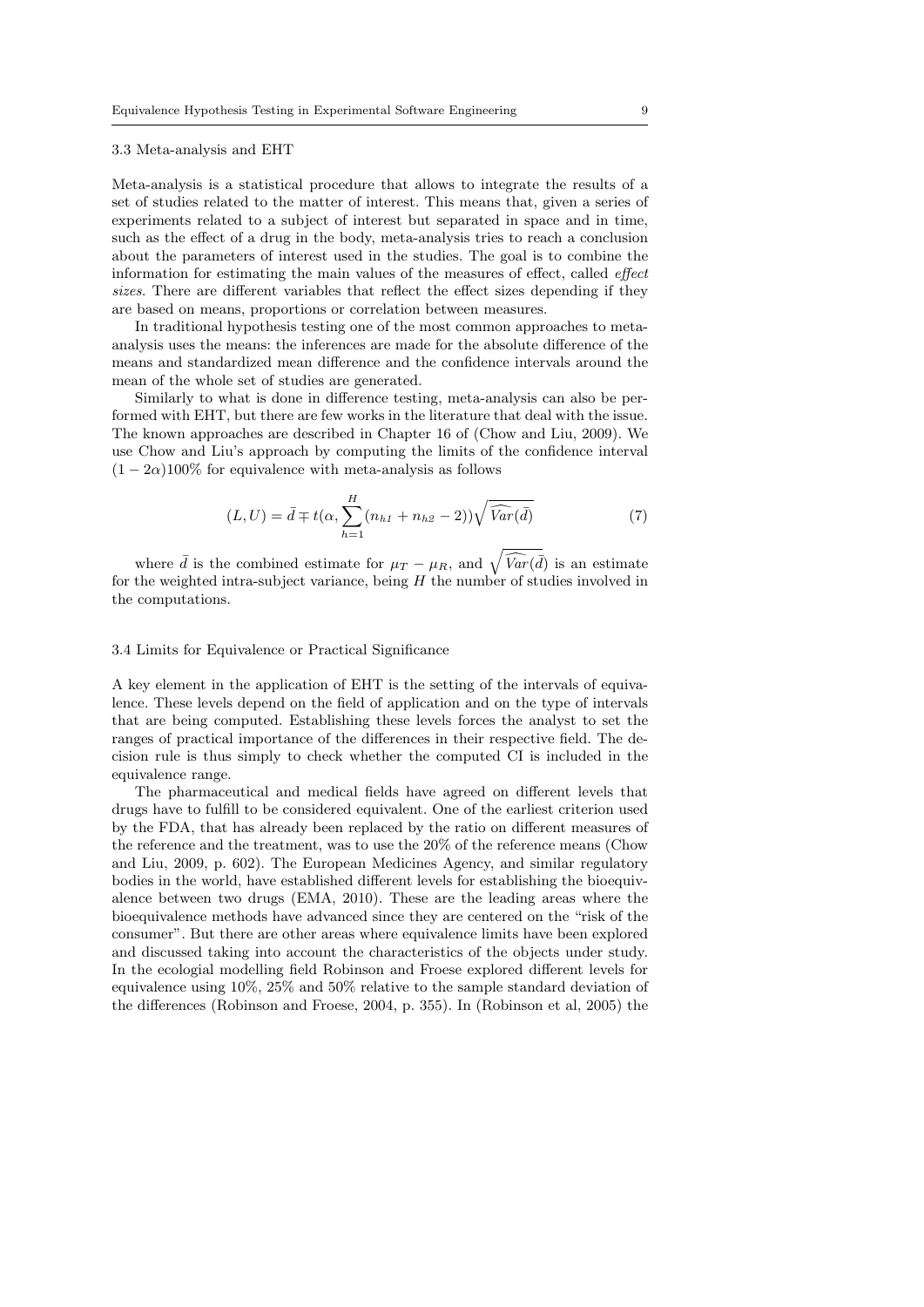#### 3.3 Meta-analysis and EHT

Meta-analysis is a statistical procedure that allows to integrate the results of a set of studies related to the matter of interest. This means that, given a series of experiments related to a subject of interest but separated in space and in time, such as the effect of a drug in the body, meta-analysis tries to reach a conclusion about the parameters of interest used in the studies. The goal is to combine the information for estimating the main values of the measures of effect, called effect sizes. There are different variables that reflect the effect sizes depending if they are based on means, proportions or correlation between measures.

In traditional hypothesis testing one of the most common approaches to metaanalysis uses the means: the inferences are made for the absolute difference of the means and standardized mean difference and the confidence intervals around the mean of the whole set of studies are generated.

Similarly to what is done in difference testing, meta-analysis can also be performed with EHT, but there are few works in the literature that deal with the issue. The known approaches are described in Chapter 16 of (Chow and Liu, 2009). We use Chow and Liu's approach by computing the limits of the confidence interval  $(1 - 2\alpha)100\%$  for equivalence with meta-analysis as follows

$$
(L, U) = \bar{d} \mp t(\alpha, \sum_{h=1}^{H} (n_{h1} + n_{h2} - 2))\sqrt{\widehat{Var}(\bar{d})}
$$
\n
$$
(7)
$$

where  $\bar{d}$  is the combined estimate for  $\mu_T - \mu_R$ , and  $\sqrt{\widehat{Var}(\bar{d})}$  is an estimate for the weighted intra-subject variance, being  $H$  the number of studies involved in the computations.

# 3.4 Limits for Equivalence or Practical Significance

A key element in the application of EHT is the setting of the intervals of equivalence. These levels depend on the field of application and on the type of intervals that are being computed. Establishing these levels forces the analyst to set the ranges of practical importance of the differences in their respective field. The decision rule is thus simply to check whether the computed CI is included in the equivalence range.

The pharmaceutical and medical fields have agreed on different levels that drugs have to fulfill to be considered equivalent. One of the earliest criterion used by the FDA, that has already been replaced by the ratio on different measures of the reference and the treatment, was to use the 20% of the reference means (Chow and Liu, 2009, p. 602). The European Medicines Agency, and similar regulatory bodies in the world, have established different levels for establishing the bioequivalence between two drugs (EMA, 2010). These are the leading areas where the bioequivalence methods have advanced since they are centered on the "risk of the consumer". But there are other areas where equivalence limits have been explored and discussed taking into account the characteristics of the objects under study. In the ecologial modelling field Robinson and Froese explored different levels for equivalence using 10%, 25% and 50% relative to the sample standard deviation of the differences (Robinson and Froese, 2004, p. 355). In (Robinson et al, 2005) the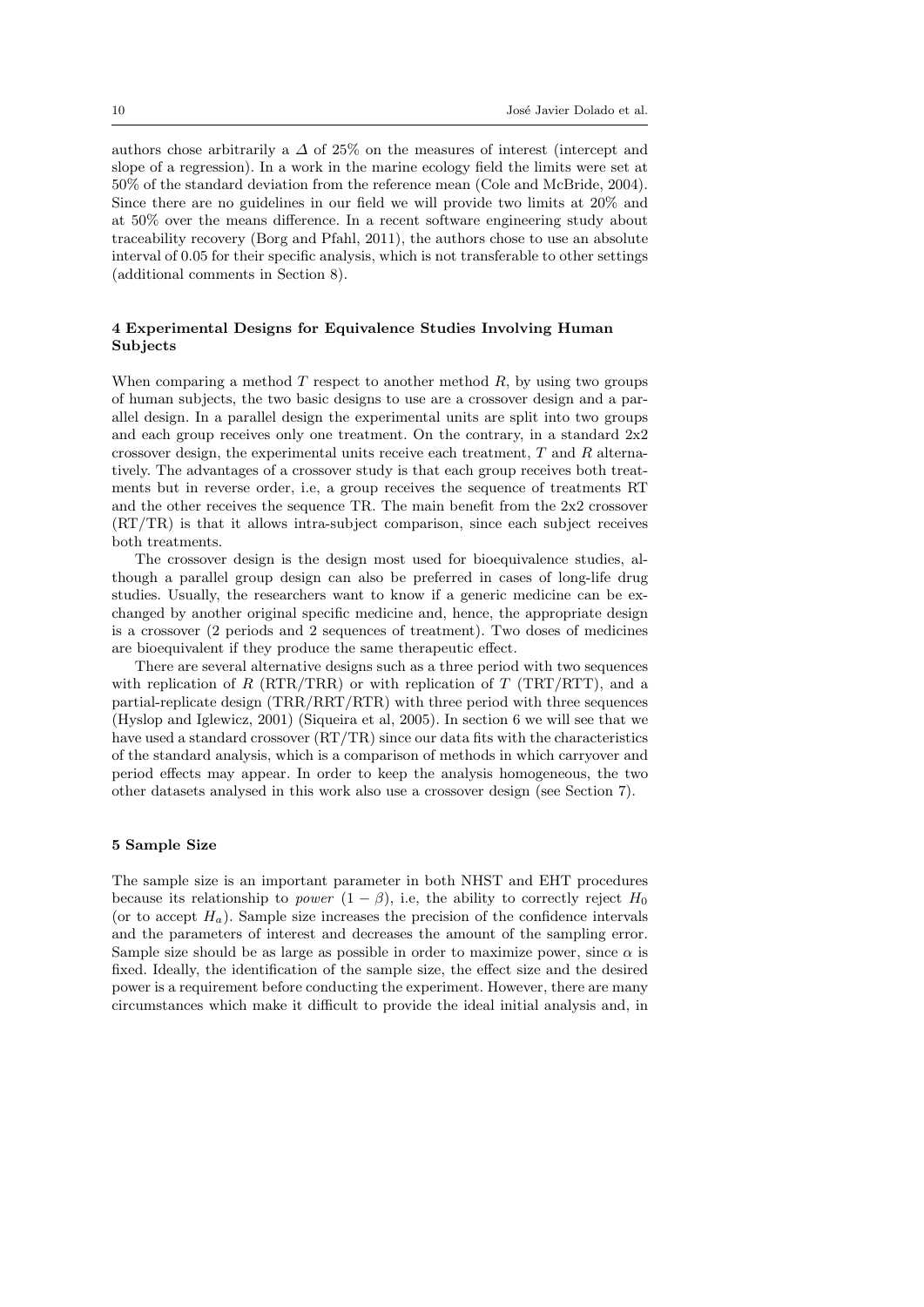authors chose arbitrarily a  $\Delta$  of 25% on the measures of interest (intercept and slope of a regression). In a work in the marine ecology field the limits were set at 50% of the standard deviation from the reference mean (Cole and McBride, 2004). Since there are no guidelines in our field we will provide two limits at 20% and at 50% over the means difference. In a recent software engineering study about traceability recovery (Borg and Pfahl, 2011), the authors chose to use an absolute interval of 0.05 for their specific analysis, which is not transferable to other settings (additional comments in Section 8).

# 4 Experimental Designs for Equivalence Studies Involving Human Subjects

When comparing a method  $T$  respect to another method  $R$ , by using two groups of human subjects, the two basic designs to use are a crossover design and a parallel design. In a parallel design the experimental units are split into two groups and each group receives only one treatment. On the contrary, in a standard  $2x^2$ crossover design, the experimental units receive each treatment,  $T$  and  $R$  alternatively. The advantages of a crossover study is that each group receives both treatments but in reverse order, i.e, a group receives the sequence of treatments RT and the other receives the sequence TR. The main benefit from the 2x2 crossover (RT/TR) is that it allows intra-subject comparison, since each subject receives both treatments.

The crossover design is the design most used for bioequivalence studies, although a parallel group design can also be preferred in cases of long-life drug studies. Usually, the researchers want to know if a generic medicine can be exchanged by another original specific medicine and, hence, the appropriate design is a crossover (2 periods and 2 sequences of treatment). Two doses of medicines are bioequivalent if they produce the same therapeutic effect.

There are several alternative designs such as a three period with two sequences with replication of R (RTR/TRR) or with replication of T (TRT/RTT), and a partial-replicate design (TRR/RRT/RTR) with three period with three sequences (Hyslop and Iglewicz, 2001) (Siqueira et al, 2005). In section 6 we will see that we have used a standard crossover (RT/TR) since our data fits with the characteristics of the standard analysis, which is a comparison of methods in which carryover and period effects may appear. In order to keep the analysis homogeneous, the two other datasets analysed in this work also use a crossover design (see Section 7).

#### 5 Sample Size

The sample size is an important parameter in both NHST and EHT procedures because its relationship to *power*  $(1 - \beta)$ , i.e, the ability to correctly reject H<sub>0</sub> (or to accept  $H_a$ ). Sample size increases the precision of the confidence intervals and the parameters of interest and decreases the amount of the sampling error. Sample size should be as large as possible in order to maximize power, since  $\alpha$  is fixed. Ideally, the identification of the sample size, the effect size and the desired power is a requirement before conducting the experiment. However, there are many circumstances which make it difficult to provide the ideal initial analysis and, in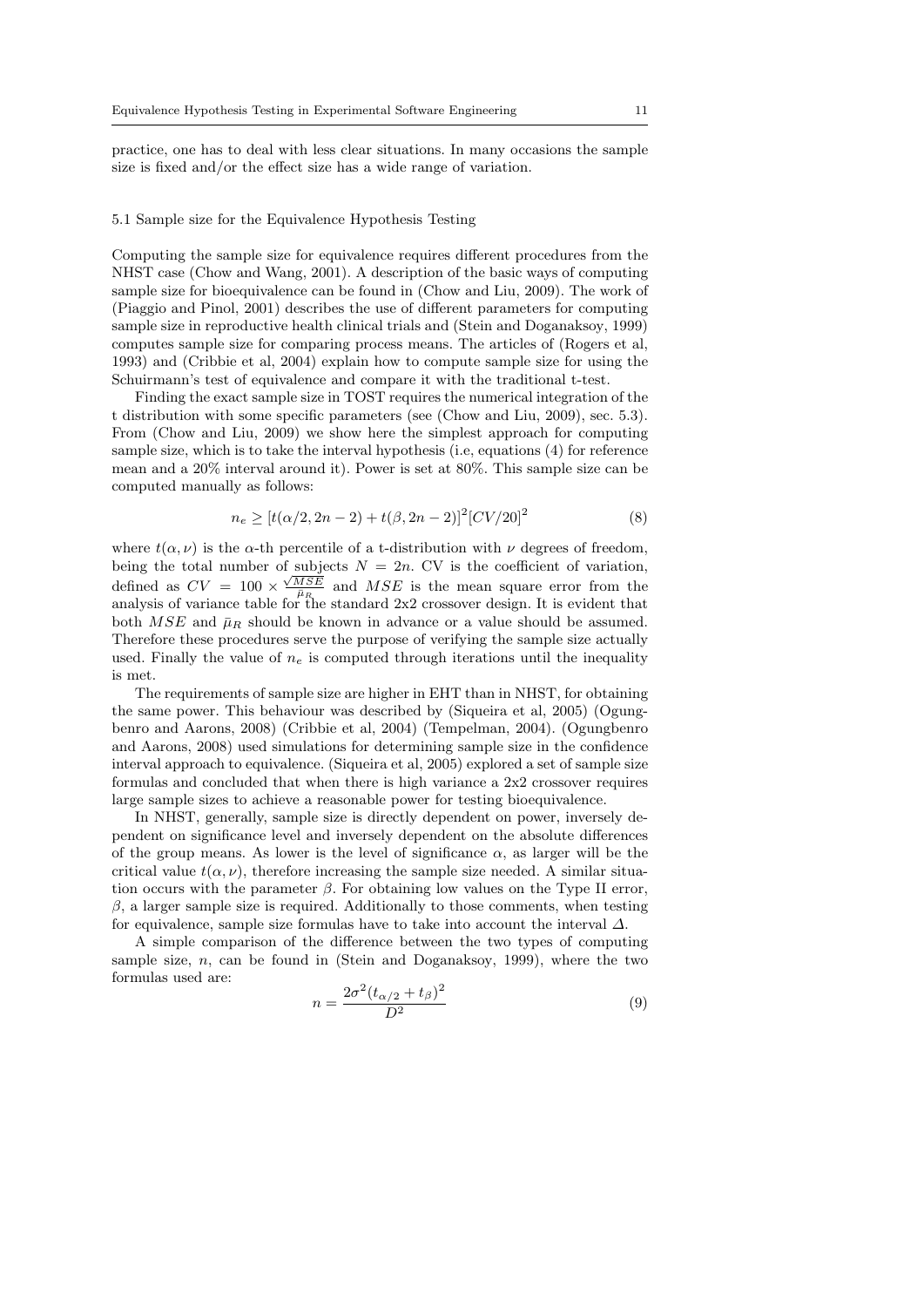practice, one has to deal with less clear situations. In many occasions the sample size is fixed and/or the effect size has a wide range of variation.

#### 5.1 Sample size for the Equivalence Hypothesis Testing

Computing the sample size for equivalence requires different procedures from the NHST case (Chow and Wang, 2001). A description of the basic ways of computing sample size for bioequivalence can be found in (Chow and Liu, 2009). The work of (Piaggio and Pinol, 2001) describes the use of different parameters for computing sample size in reproductive health clinical trials and (Stein and Doganaksoy, 1999) computes sample size for comparing process means. The articles of (Rogers et al, 1993) and (Cribbie et al, 2004) explain how to compute sample size for using the Schuirmann's test of equivalence and compare it with the traditional t-test.

Finding the exact sample size in TOST requires the numerical integration of the t distribution with some specific parameters (see (Chow and Liu, 2009), sec. 5.3). From (Chow and Liu, 2009) we show here the simplest approach for computing sample size, which is to take the interval hypothesis (i.e, equations (4) for reference mean and a 20% interval around it). Power is set at 80%. This sample size can be computed manually as follows:

$$
n_e \ge \left[t(\alpha/2, 2n - 2) + t(\beta, 2n - 2)\right]^2 \left[CV/20\right]^2\tag{8}
$$

where  $t(\alpha, \nu)$  is the  $\alpha$ -th percentile of a t-distribution with  $\nu$  degrees of freedom, being the total number of subjects  $N = 2n$ . CV is the coefficient of variation, defined as  $CV = 100 \times \frac{\sqrt{MSE}}{B}$  and  $MSE$  is the mean square error from the analysis of variance table for the standard  $2x2$  crossover design. It is evident that both  $MSE$  and  $\bar{\mu}_R$  should be known in advance or a value should be assumed. Therefore these procedures serve the purpose of verifying the sample size actually used. Finally the value of  $n_e$  is computed through iterations until the inequality is met.

The requirements of sample size are higher in EHT than in NHST, for obtaining the same power. This behaviour was described by (Siqueira et al, 2005) (Ogungbenro and Aarons, 2008) (Cribbie et al, 2004) (Tempelman, 2004). (Ogungbenro and Aarons, 2008) used simulations for determining sample size in the confidence interval approach to equivalence. (Siqueira et al, 2005) explored a set of sample size formulas and concluded that when there is high variance a 2x2 crossover requires large sample sizes to achieve a reasonable power for testing bioequivalence.

In NHST, generally, sample size is directly dependent on power, inversely dependent on significance level and inversely dependent on the absolute differences of the group means. As lower is the level of significance  $\alpha$ , as larger will be the critical value  $t(\alpha, \nu)$ , therefore increasing the sample size needed. A similar situation occurs with the parameter  $\beta$ . For obtaining low values on the Type II error,  $\beta$ , a larger sample size is required. Additionally to those comments, when testing for equivalence, sample size formulas have to take into account the interval  $\Delta$ .

A simple comparison of the difference between the two types of computing sample size,  $n$ , can be found in (Stein and Doganaksoy, 1999), where the two formulas used are:

$$
n = \frac{2\sigma^2 (t_{\alpha/2} + t_{\beta})^2}{D^2}
$$
 (9)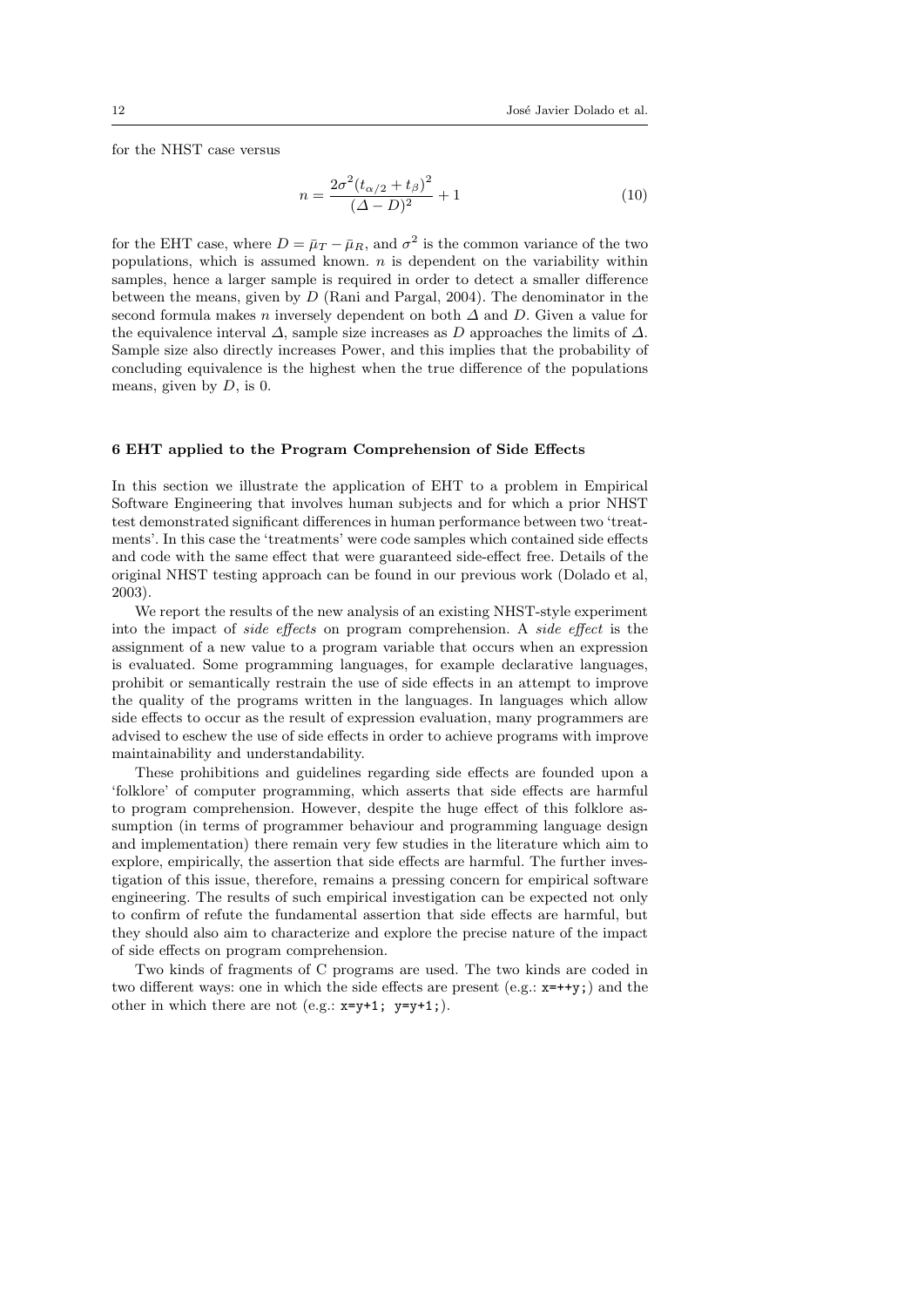for the NHST case versus

$$
n = \frac{2\sigma^2 (t_{\alpha/2} + t_{\beta})^2}{(\Delta - D)^2} + 1
$$
\n(10)

for the EHT case, where  $D = \bar{\mu}_T - \bar{\mu}_R$ , and  $\sigma^2$  is the common variance of the two populations, which is assumed known.  $n$  is dependent on the variability within samples, hence a larger sample is required in order to detect a smaller difference between the means, given by D (Rani and Pargal, 2004). The denominator in the second formula makes n inversely dependent on both  $\Delta$  and D. Given a value for the equivalence interval  $\Delta$ , sample size increases as D approaches the limits of  $\Delta$ . Sample size also directly increases Power, and this implies that the probability of concluding equivalence is the highest when the true difference of the populations means, given by  $D$ , is 0.

#### 6 EHT applied to the Program Comprehension of Side Effects

In this section we illustrate the application of EHT to a problem in Empirical Software Engineering that involves human subjects and for which a prior NHST test demonstrated significant differences in human performance between two 'treatments'. In this case the 'treatments' were code samples which contained side effects and code with the same effect that were guaranteed side-effect free. Details of the original NHST testing approach can be found in our previous work (Dolado et al, 2003).

We report the results of the new analysis of an existing NHST-style experiment into the impact of side effects on program comprehension. A side effect is the assignment of a new value to a program variable that occurs when an expression is evaluated. Some programming languages, for example declarative languages, prohibit or semantically restrain the use of side effects in an attempt to improve the quality of the programs written in the languages. In languages which allow side effects to occur as the result of expression evaluation, many programmers are advised to eschew the use of side effects in order to achieve programs with improve maintainability and understandability.

These prohibitions and guidelines regarding side effects are founded upon a 'folklore' of computer programming, which asserts that side effects are harmful to program comprehension. However, despite the huge effect of this folklore assumption (in terms of programmer behaviour and programming language design and implementation) there remain very few studies in the literature which aim to explore, empirically, the assertion that side effects are harmful. The further investigation of this issue, therefore, remains a pressing concern for empirical software engineering. The results of such empirical investigation can be expected not only to confirm of refute the fundamental assertion that side effects are harmful, but they should also aim to characterize and explore the precise nature of the impact of side effects on program comprehension.

Two kinds of fragments of C programs are used. The two kinds are coded in two different ways: one in which the side effects are present (e.g.: x=++y;) and the other in which there are not (e.g.:  $x=y+1$ ;  $y=y+1$ ;).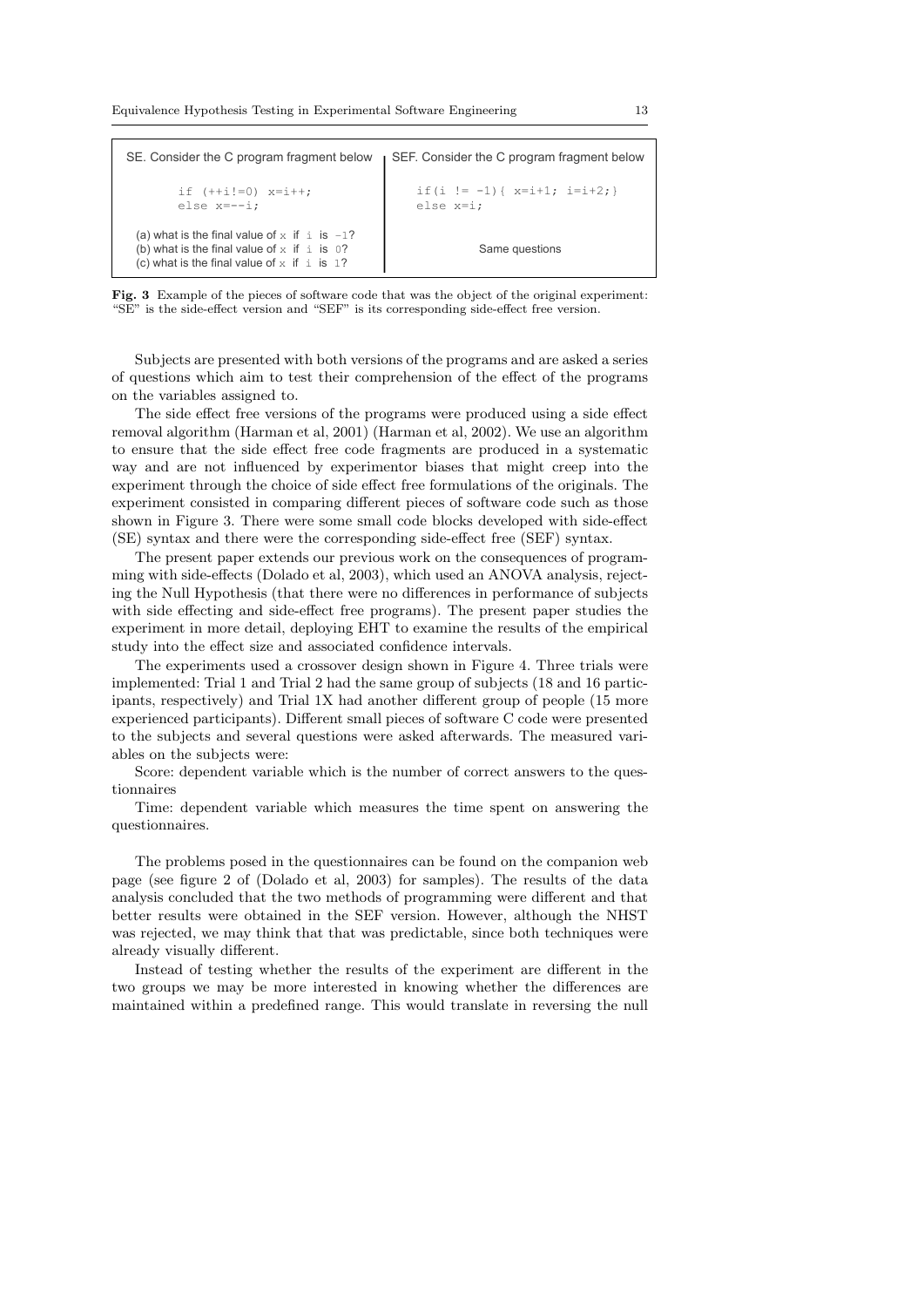|                                                                                                                                                               | SE. Consider the C program fragment below <b>SEF.</b> Consider the C program fragment below |
|---------------------------------------------------------------------------------------------------------------------------------------------------------------|---------------------------------------------------------------------------------------------|
| if $(++i!=0)$ $x=i++;$<br>else $x=-i$ :                                                                                                                       | if $(i := -1)$ { $x=i+1$ ; $i=i+2$ ; }<br>else $x=i;$                                       |
| (a) what is the final value of x if $\pm$ is $-1$ ?<br>(b) what is the final value of $x$ if $\pm$ is 0?<br>(c) what is the final value of $x$ if $\pm$ is 1? | Same questions                                                                              |

Fig. 3 Example of the pieces of software code that was the object of the original experiment: "SE" is the side-effect version and "SEF" is its corresponding side-effect free version.

Subjects are presented with both versions of the programs and are asked a series of questions which aim to test their comprehension of the effect of the programs on the variables assigned to.

The side effect free versions of the programs were produced using a side effect removal algorithm (Harman et al, 2001) (Harman et al, 2002). We use an algorithm to ensure that the side effect free code fragments are produced in a systematic way and are not influenced by experimentor biases that might creep into the experiment through the choice of side effect free formulations of the originals. The experiment consisted in comparing different pieces of software code such as those shown in Figure 3. There were some small code blocks developed with side-effect (SE) syntax and there were the corresponding side-effect free (SEF) syntax.

The present paper extends our previous work on the consequences of programming with side-effects (Dolado et al, 2003), which used an ANOVA analysis, rejecting the Null Hypothesis (that there were no differences in performance of subjects with side effecting and side-effect free programs). The present paper studies the experiment in more detail, deploying EHT to examine the results of the empirical study into the effect size and associated confidence intervals.

The experiments used a crossover design shown in Figure 4. Three trials were implemented: Trial 1 and Trial 2 had the same group of subjects (18 and 16 participants, respectively) and Trial 1X had another different group of people (15 more experienced participants). Different small pieces of software C code were presented to the subjects and several questions were asked afterwards. The measured variables on the subjects were:

Score: dependent variable which is the number of correct answers to the questionnaires

Time: dependent variable which measures the time spent on answering the questionnaires.

The problems posed in the questionnaires can be found on the companion web page (see figure 2 of (Dolado et al, 2003) for samples). The results of the data analysis concluded that the two methods of programming were different and that better results were obtained in the SEF version. However, although the NHST was rejected, we may think that that was predictable, since both techniques were already visually different.

Instead of testing whether the results of the experiment are different in the two groups we may be more interested in knowing whether the differences are maintained within a predefined range. This would translate in reversing the null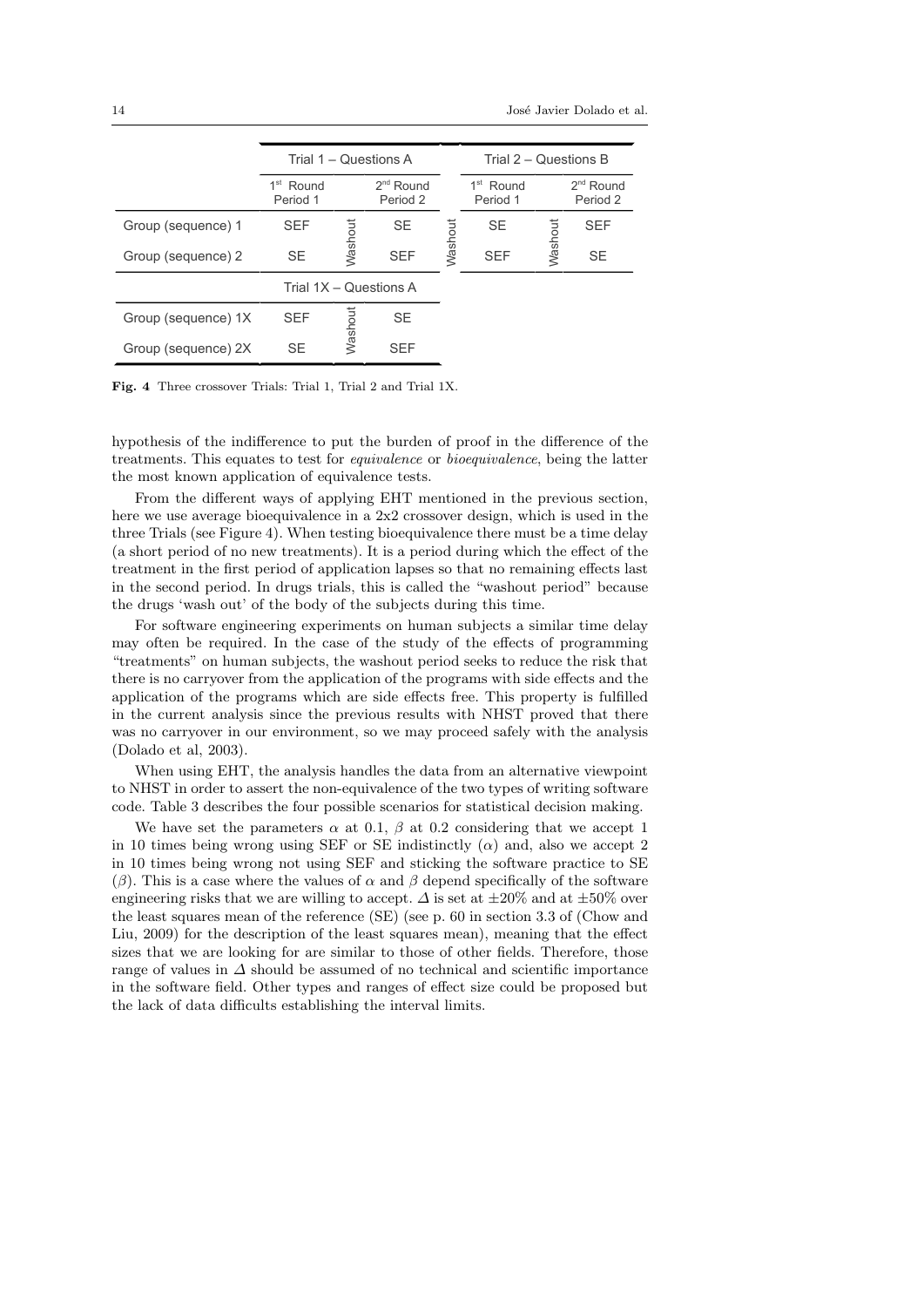|                     | Trial 1 – Questions A                |         |                            |         | Trial 2 – Questions B   |         |                         |
|---------------------|--------------------------------------|---------|----------------------------|---------|-------------------------|---------|-------------------------|
|                     | 1 <sup>st</sup><br>Round<br>Period 1 |         | $2^{nd}$ Round<br>Period 2 |         | $1st$ Round<br>Period 1 |         | $2nd$ Round<br>Period 2 |
| Group (sequence) 1  | <b>SEF</b>                           |         | <b>SE</b>                  |         | <b>SE</b>               |         | <b>SEF</b>              |
| Group (sequence) 2  | <b>SE</b>                            | Washout | <b>SEF</b>                 | Washout | <b>SEF</b>              | Washout | <b>SE</b>               |
|                     | Trial 1X - Questions A               |         |                            |         |                         |         |                         |
| Group (sequence) 1X | <b>SEF</b>                           | Washout | <b>SE</b>                  |         |                         |         |                         |
| Group (sequence) 2X | <b>SE</b>                            |         | <b>SFF</b>                 |         |                         |         |                         |

Fig. 4 Three crossover Trials: Trial 1, Trial 2 and Trial 1X.

hypothesis of the indifference to put the burden of proof in the difference of the treatments. This equates to test for equivalence or bioequivalence, being the latter the most known application of equivalence tests.

From the different ways of applying EHT mentioned in the previous section, here we use average bioequivalence in a 2x2 crossover design, which is used in the three Trials (see Figure 4). When testing bioequivalence there must be a time delay (a short period of no new treatments). It is a period during which the effect of the treatment in the first period of application lapses so that no remaining effects last in the second period. In drugs trials, this is called the "washout period" because the drugs 'wash out' of the body of the subjects during this time.

For software engineering experiments on human subjects a similar time delay may often be required. In the case of the study of the effects of programming "treatments" on human subjects, the washout period seeks to reduce the risk that there is no carryover from the application of the programs with side effects and the application of the programs which are side effects free. This property is fulfilled in the current analysis since the previous results with NHST proved that there was no carryover in our environment, so we may proceed safely with the analysis (Dolado et al, 2003).

When using EHT, the analysis handles the data from an alternative viewpoint to NHST in order to assert the non-equivalence of the two types of writing software code. Table 3 describes the four possible scenarios for statistical decision making.

We have set the parameters  $\alpha$  at 0.1,  $\beta$  at 0.2 considering that we accept 1 in 10 times being wrong using SEF or SE indistinctly ( $\alpha$ ) and, also we accept 2 in 10 times being wrong not using SEF and sticking the software practice to SE (β). This is a case where the values of  $\alpha$  and  $\beta$  depend specifically of the software engineering risks that we are willing to accept.  $\Delta$  is set at  $\pm 20\%$  and at  $\pm 50\%$  over the least squares mean of the reference (SE) (see p. 60 in section 3.3 of (Chow and Liu, 2009) for the description of the least squares mean), meaning that the effect sizes that we are looking for are similar to those of other fields. Therefore, those range of values in  $\Delta$  should be assumed of no technical and scientific importance in the software field. Other types and ranges of effect size could be proposed but the lack of data difficults establishing the interval limits.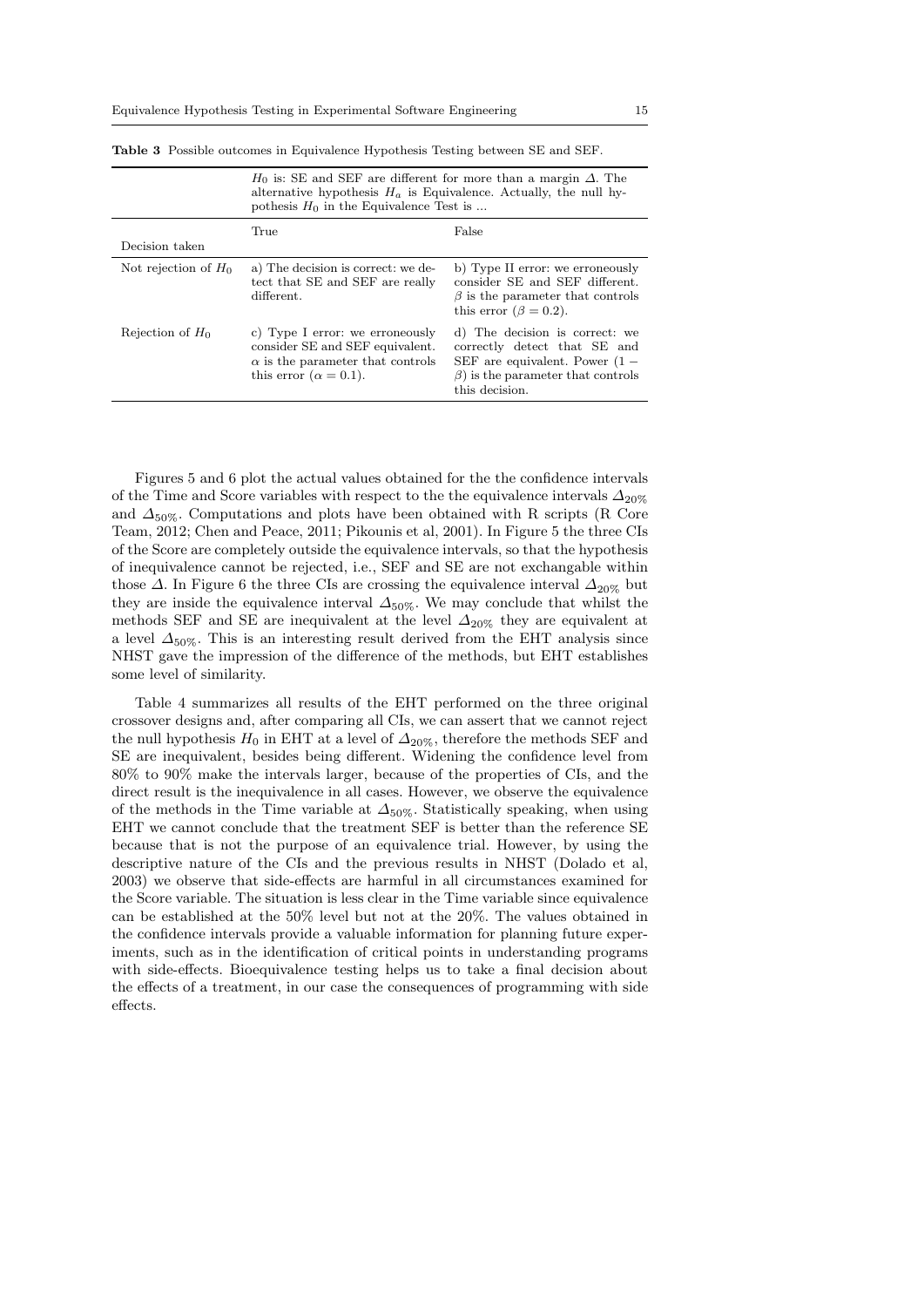|                        | $H_0$ is: SE and SEF are different for more than a margin $\Delta$ . The<br>alternative hypothesis $H_a$ is Equivalence. Actually, the null hy-<br>pothesis $H_0$ in the Equivalence Test is |                                                                                                                                                                  |  |  |  |
|------------------------|----------------------------------------------------------------------------------------------------------------------------------------------------------------------------------------------|------------------------------------------------------------------------------------------------------------------------------------------------------------------|--|--|--|
| Decision taken         | True                                                                                                                                                                                         | False                                                                                                                                                            |  |  |  |
| Not rejection of $H_0$ | a) The decision is correct: we de-<br>tect that SE and SEF are really<br>different.                                                                                                          | b) Type II error: we erroneously<br>consider SE and SEF different.<br>$\beta$ is the parameter that controls<br>this error $(\beta = 0.2)$ .                     |  |  |  |
| Rejection of $H_0$     | c) Type I error: we erroneously<br>consider SE and SEF equivalent.<br>$\alpha$ is the parameter that controls<br>this error $(\alpha = 0.1)$ .                                               | d) The decision is correct: we<br>correctly detect that SE and<br>SEF are equivalent. Power $(1 -$<br>$\beta$ ) is the parameter that controls<br>this decision. |  |  |  |

Table 3 Possible outcomes in Equivalence Hypothesis Testing between SE and SEF.

Figures 5 and 6 plot the actual values obtained for the the confidence intervals of the Time and Score variables with respect to the the equivalence intervals  $\Delta_{20\%}$ and  $\Delta_{50\%}$ . Computations and plots have been obtained with R scripts (R Core Team, 2012; Chen and Peace, 2011; Pikounis et al, 2001). In Figure 5 the three CIs of the Score are completely outside the equivalence intervals, so that the hypothesis of inequivalence cannot be rejected, i.e., SEF and SE are not exchangable within those  $\Delta$ . In Figure 6 the three CIs are crossing the equivalence interval  $\Delta_{20\%}$  but they are inside the equivalence interval  $\Delta_{50\%}$ . We may conclude that whilst the methods SEF and SE are inequivalent at the level  $\Delta_{20\%}$  they are equivalent at a level  $\Delta_{50\%}$ . This is an interesting result derived from the EHT analysis since NHST gave the impression of the difference of the methods, but EHT establishes some level of similarity.

Table 4 summarizes all results of the EHT performed on the three original crossover designs and, after comparing all CIs, we can assert that we cannot reject the null hypothesis  $H_0$  in EHT at a level of  $\Delta_{20\%}$ , therefore the methods SEF and SE are inequivalent, besides being different. Widening the confidence level from 80% to 90% make the intervals larger, because of the properties of CIs, and the direct result is the inequivalence in all cases. However, we observe the equivalence of the methods in the Time variable at  $\Delta_{50\%}$ . Statistically speaking, when using EHT we cannot conclude that the treatment SEF is better than the reference SE because that is not the purpose of an equivalence trial. However, by using the descriptive nature of the CIs and the previous results in NHST (Dolado et al, 2003) we observe that side-effects are harmful in all circumstances examined for the Score variable. The situation is less clear in the Time variable since equivalence can be established at the 50% level but not at the 20%. The values obtained in the confidence intervals provide a valuable information for planning future experiments, such as in the identification of critical points in understanding programs with side-effects. Bioequivalence testing helps us to take a final decision about the effects of a treatment, in our case the consequences of programming with side effects.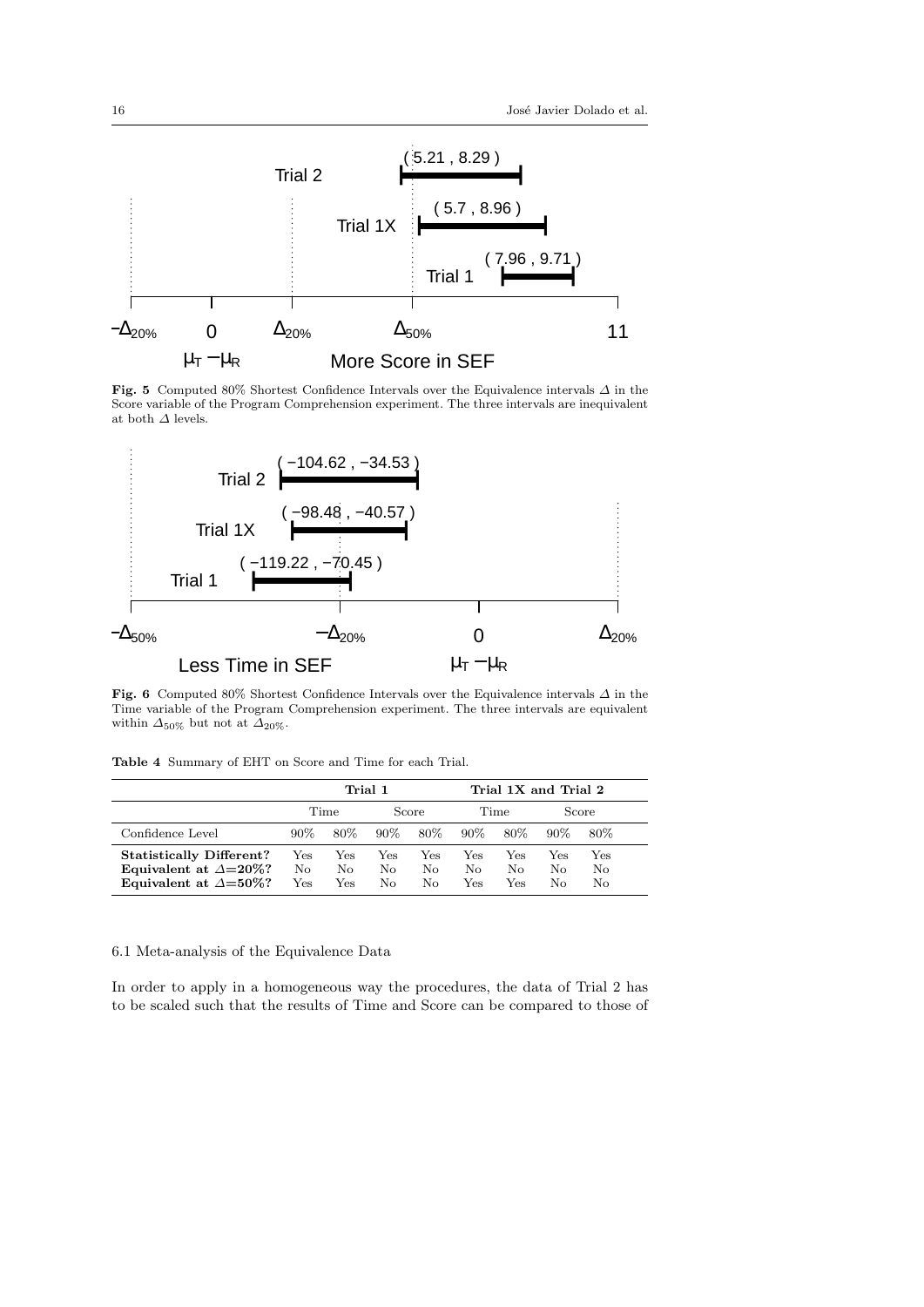

Fig. 5 Computed 80% Shortest Confidence Intervals over the Equivalence intervals ∆ in the Score variable of the Program Comprehension experiment. The three intervals are inequivalent at both  $\Delta$  levels.



Fig. 6 Computed 80% Shortest Confidence Intervals over the Equivalence intervals ∆ in the Time variable of the Program Comprehension experiment. The three intervals are equivalent within  $\Delta_{50\%}$  but not at  $\Delta_{20\%}$ .

|                                                                                                       | Trial 1                   |                  |                   |                   | Trial 1X and Trial 2 |                  |                 |                 |
|-------------------------------------------------------------------------------------------------------|---------------------------|------------------|-------------------|-------------------|----------------------|------------------|-----------------|-----------------|
|                                                                                                       |                           | Time             |                   | Score             |                      | Time             |                 | Score           |
| Confidence Level                                                                                      | $90\%$                    | 80\%             | $90\%$            | 80\%              | $90\%$               | 80%              | $90\%$          | 80\%            |
| <b>Statistically Different?</b><br>Equivalent at $\Delta = 20\%$ ?<br>Equivalent at $\Delta = 50\%$ ? | $_{\rm Yes}$<br>No<br>Yes | Yes<br>No<br>Yes | Yes<br>No.<br>No. | Yes<br>No.<br>No. | Yes<br>No.<br>Yes    | Yes<br>Nο<br>Yes | Yes<br>No<br>Nο | Yes<br>No<br>No |

# 6.1 Meta-analysis of the Equivalence Data

In order to apply in a homogeneous way the procedures, the data of Trial 2 has to be scaled such that the results of Time and Score can be compared to those of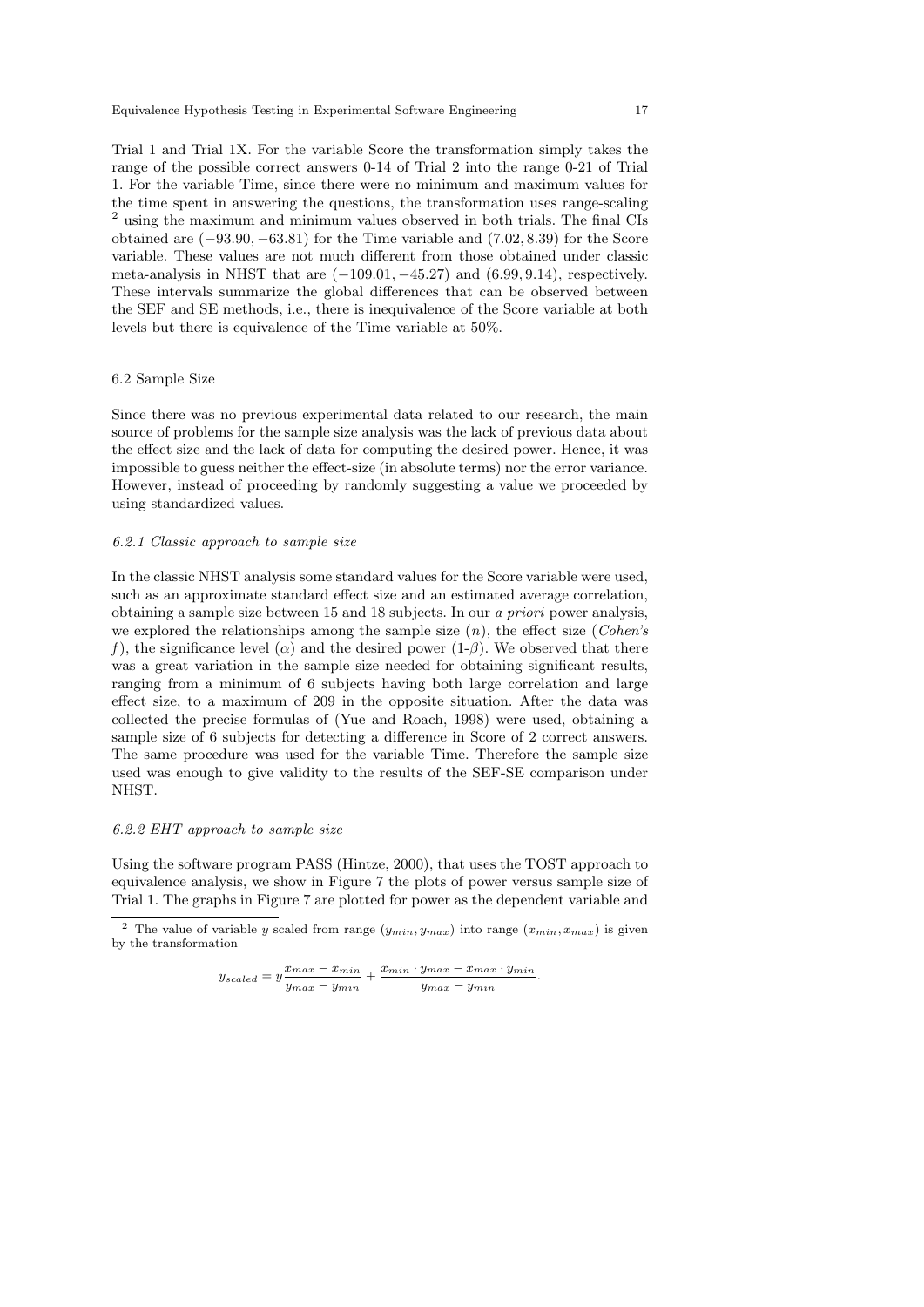Trial 1 and Trial 1X. For the variable Score the transformation simply takes the range of the possible correct answers 0-14 of Trial 2 into the range 0-21 of Trial 1. For the variable Time, since there were no minimum and maximum values for the time spent in answering the questions, the transformation uses range-scaling  $^2$  using the maximum and minimum values observed in both trials. The final CIs  $\,$ obtained are  $(-93.90, -63.81)$  for the Time variable and  $(7.02, 8.39)$  for the Score variable. These values are not much different from those obtained under classic meta-analysis in NHST that are  $(-109.01, -45.27)$  and  $(6.99, 9.14)$ , respectively. These intervals summarize the global differences that can be observed between the SEF and SE methods, i.e., there is inequivalence of the Score variable at both levels but there is equivalence of the Time variable at 50%.

# 6.2 Sample Size

Since there was no previous experimental data related to our research, the main source of problems for the sample size analysis was the lack of previous data about the effect size and the lack of data for computing the desired power. Hence, it was impossible to guess neither the effect-size (in absolute terms) nor the error variance. However, instead of proceeding by randomly suggesting a value we proceeded by using standardized values.

#### 6.2.1 Classic approach to sample size

In the classic NHST analysis some standard values for the Score variable were used, such as an approximate standard effect size and an estimated average correlation, obtaining a sample size between 15 and 18 subjects. In our a priori power analysis, we explored the relationships among the sample size  $(n)$ , the effect size (*Cohen's* f), the significance level ( $\alpha$ ) and the desired power (1- $\beta$ ). We observed that there was a great variation in the sample size needed for obtaining significant results, ranging from a minimum of 6 subjects having both large correlation and large effect size, to a maximum of 209 in the opposite situation. After the data was collected the precise formulas of (Yue and Roach, 1998) were used, obtaining a sample size of 6 subjects for detecting a difference in Score of 2 correct answers. The same procedure was used for the variable Time. Therefore the sample size used was enough to give validity to the results of the SEF-SE comparison under NHST.

# 6.2.2 EHT approach to sample size

Using the software program PASS (Hintze, 2000), that uses the TOST approach to equivalence analysis, we show in Figure 7 the plots of power versus sample size of Trial 1. The graphs in Figure 7 are plotted for power as the dependent variable and

$$
y_{scaled} = y\frac{x_{max} - x_{min}}{y_{max} - y_{min}} + \frac{x_{min} \cdot y_{max} - x_{max} \cdot y_{min}}{y_{max} - y_{min}}.
$$

<sup>&</sup>lt;sup>2</sup> The value of variable y scaled from range  $(y_{min}, y_{max})$  into range  $(x_{min}, x_{max})$  is given by the transformation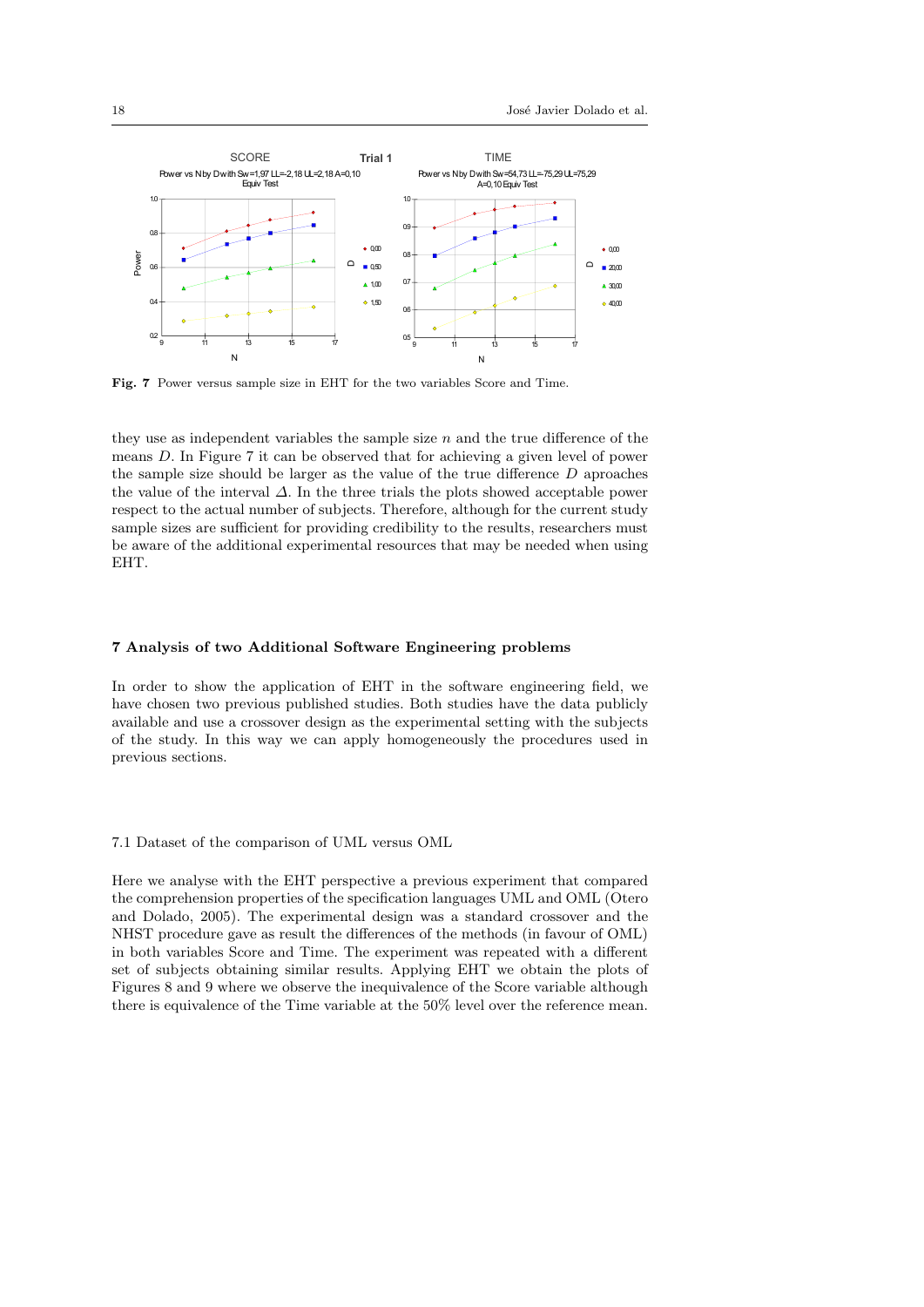

Fig. 7 Power versus sample size in EHT for the two variables Score and Time.

they use as independent variables the sample size  $n$  and the true difference of the means D. In Figure 7 it can be observed that for achieving a given level of power the sample size should be larger as the value of the true difference D aproaches the value of the interval  $\Delta$ . In the three trials the plots showed acceptable power respect to the actual number of subjects. Therefore, although for the current study sample sizes are sufficient for providing credibility to the results, researchers must be aware of the additional experimental resources that may be needed when using EHT.

#### 7 Analysis of two Additional Software Engineering problems

In order to show the application of EHT in the software engineering field, we have chosen two previous published studies. Both studies have the data publicly available and use a crossover design as the experimental setting with the subjects of the study. In this way we can apply homogeneously the procedures used in previous sections.

# 7.1 Dataset of the comparison of UML versus OML

Here we analyse with the EHT perspective a previous experiment that compared the comprehension properties of the specification languages UML and OML (Otero and Dolado, 2005). The experimental design was a standard crossover and the NHST procedure gave as result the differences of the methods (in favour of OML) in both variables Score and Time. The experiment was repeated with a different set of subjects obtaining similar results. Applying EHT we obtain the plots of Figures 8 and 9 where we observe the inequivalence of the Score variable although there is equivalence of the Time variable at the 50% level over the reference mean.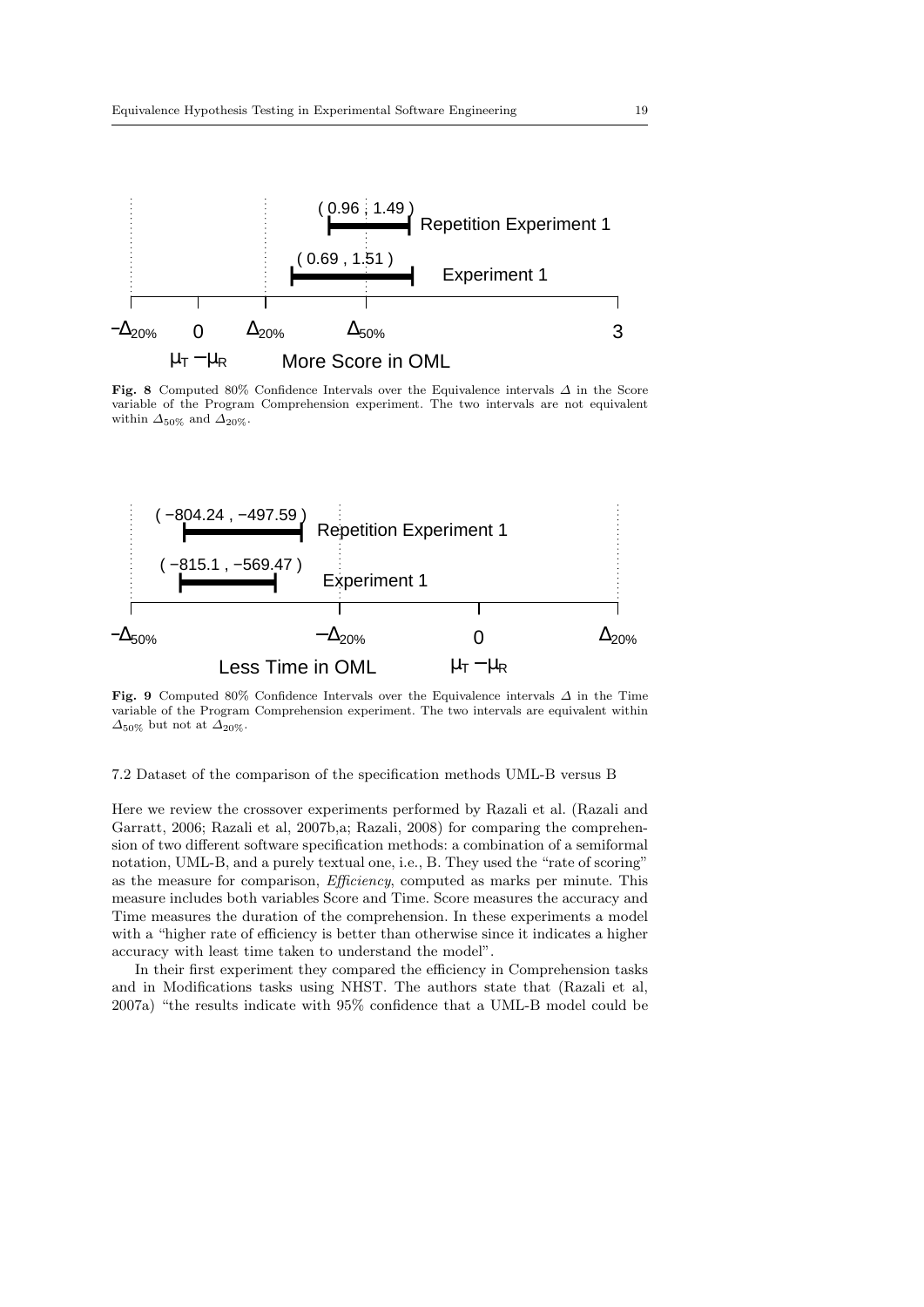

Fig. 8 Computed 80% Confidence Intervals over the Equivalence intervals  $\Delta$  in the Score variable of the Program Comprehension experiment. The two intervals are not equivalent within  $\Delta_{50\%}$  and  $\Delta_{20\%}$ .



Fig. 9 Computed 80% Confidence Intervals over the Equivalence intervals  $\Delta$  in the Time variable of the Program Comprehension experiment. The two intervals are equivalent within  $\Delta_{50\%}$  but not at  $\Delta_{20\%}$ .

7.2 Dataset of the comparison of the specification methods UML-B versus B

Here we review the crossover experiments performed by Razali et al. (Razali and Garratt, 2006; Razali et al, 2007b,a; Razali, 2008) for comparing the comprehension of two different software specification methods: a combination of a semiformal notation, UML-B, and a purely textual one, i.e., B. They used the "rate of scoring" as the measure for comparison, Efficiency, computed as marks per minute. This measure includes both variables Score and Time. Score measures the accuracy and Time measures the duration of the comprehension. In these experiments a model with a "higher rate of efficiency is better than otherwise since it indicates a higher accuracy with least time taken to understand the model".

In their first experiment they compared the efficiency in Comprehension tasks and in Modifications tasks using NHST. The authors state that (Razali et al, 2007a) "the results indicate with 95% confidence that a UML-B model could be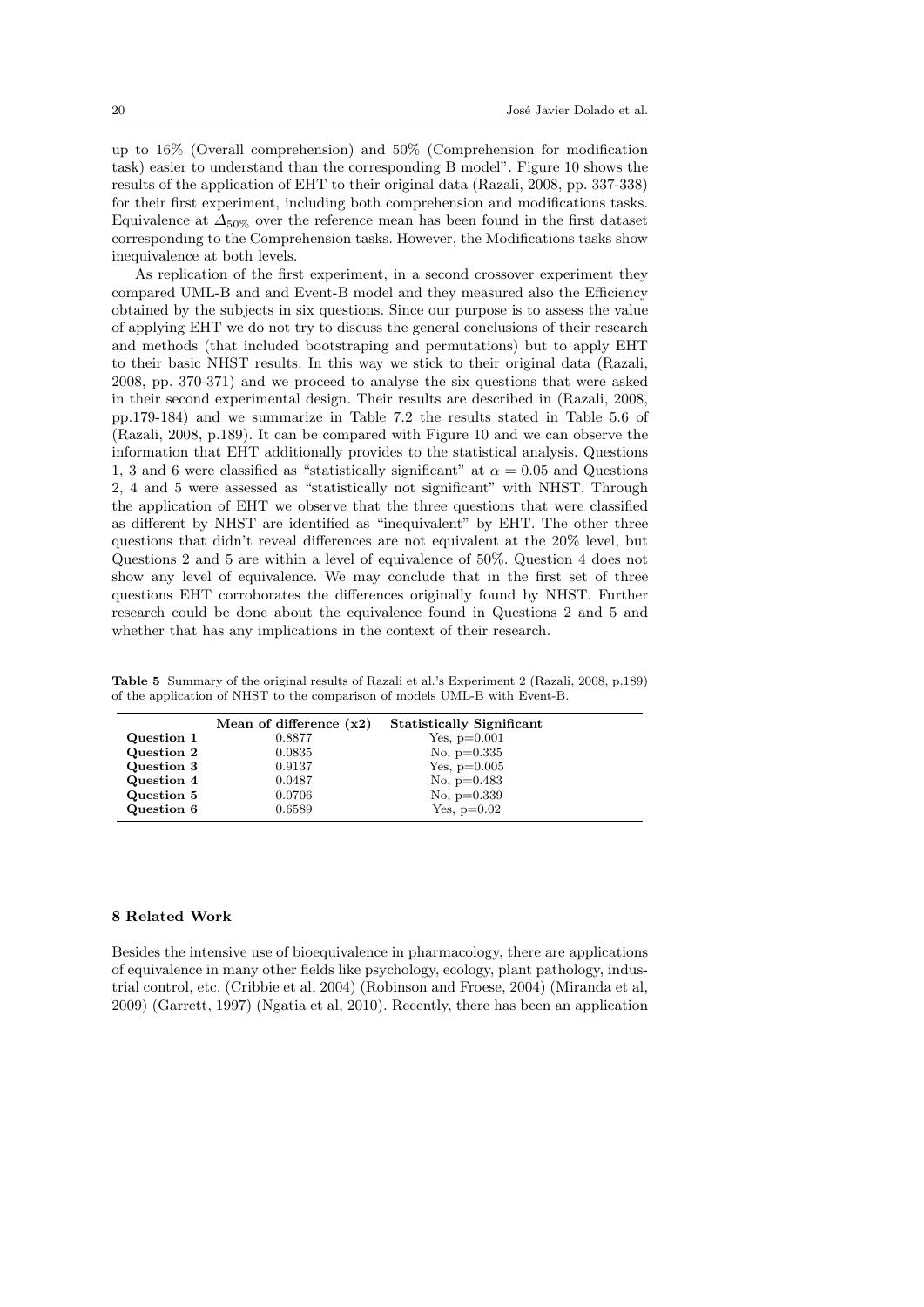up to 16% (Overall comprehension) and 50% (Comprehension for modification task) easier to understand than the corresponding B model". Figure 10 shows the results of the application of EHT to their original data (Razali, 2008, pp. 337-338) for their first experiment, including both comprehension and modifications tasks. Equivalence at  $\Delta_{50\%}$  over the reference mean has been found in the first dataset corresponding to the Comprehension tasks. However, the Modifications tasks show inequivalence at both levels.

As replication of the first experiment, in a second crossover experiment they compared UML-B and and Event-B model and they measured also the Efficiency obtained by the subjects in six questions. Since our purpose is to assess the value of applying EHT we do not try to discuss the general conclusions of their research and methods (that included bootstraping and permutations) but to apply EHT to their basic NHST results. In this way we stick to their original data (Razali, 2008, pp. 370-371) and we proceed to analyse the six questions that were asked in their second experimental design. Their results are described in (Razali, 2008, pp.179-184) and we summarize in Table 7.2 the results stated in Table 5.6 of (Razali, 2008, p.189). It can be compared with Figure 10 and we can observe the information that EHT additionally provides to the statistical analysis. Questions 1, 3 and 6 were classified as "statistically significant" at  $\alpha = 0.05$  and Questions 2, 4 and 5 were assessed as "statistically not significant" with NHST. Through the application of EHT we observe that the three questions that were classified as different by NHST are identified as "inequivalent" by EHT. The other three questions that didn't reveal differences are not equivalent at the 20% level, but Questions 2 and 5 are within a level of equivalence of 50%. Question 4 does not show any level of equivalence. We may conclude that in the first set of three questions EHT corroborates the differences originally found by NHST. Further research could be done about the equivalence found in Questions 2 and 5 and whether that has any implications in the context of their research.

| <b>Table 5</b> Summary of the original results of Razali et al.'s Experiment 2 (Razali, 2008, p.189) |  |  |  |
|------------------------------------------------------------------------------------------------------|--|--|--|
| of the application of NHST to the comparison of models UML-B with Event-B.                           |  |  |  |

|            | Mean of difference $(x2)$ | <b>Statistically Significant</b> |  |
|------------|---------------------------|----------------------------------|--|
| Question 1 | 0.8877                    | Yes, $p=0.001$                   |  |
| Question 2 | 0.0835                    | No. $p=0.335$                    |  |
| Question 3 | 0.9137                    | Yes, $p=0.005$                   |  |
| Question 4 | 0.0487                    | No. $p=0.483$                    |  |
| Question 5 | 0.0706                    | No. $p=0.339$                    |  |
| Question 6 | 0.6589                    | Yes, $p=0.02$                    |  |

### 8 Related Work

Besides the intensive use of bioequivalence in pharmacology, there are applications of equivalence in many other fields like psychology, ecology, plant pathology, industrial control, etc. (Cribbie et al, 2004) (Robinson and Froese, 2004) (Miranda et al, 2009) (Garrett, 1997) (Ngatia et al, 2010). Recently, there has been an application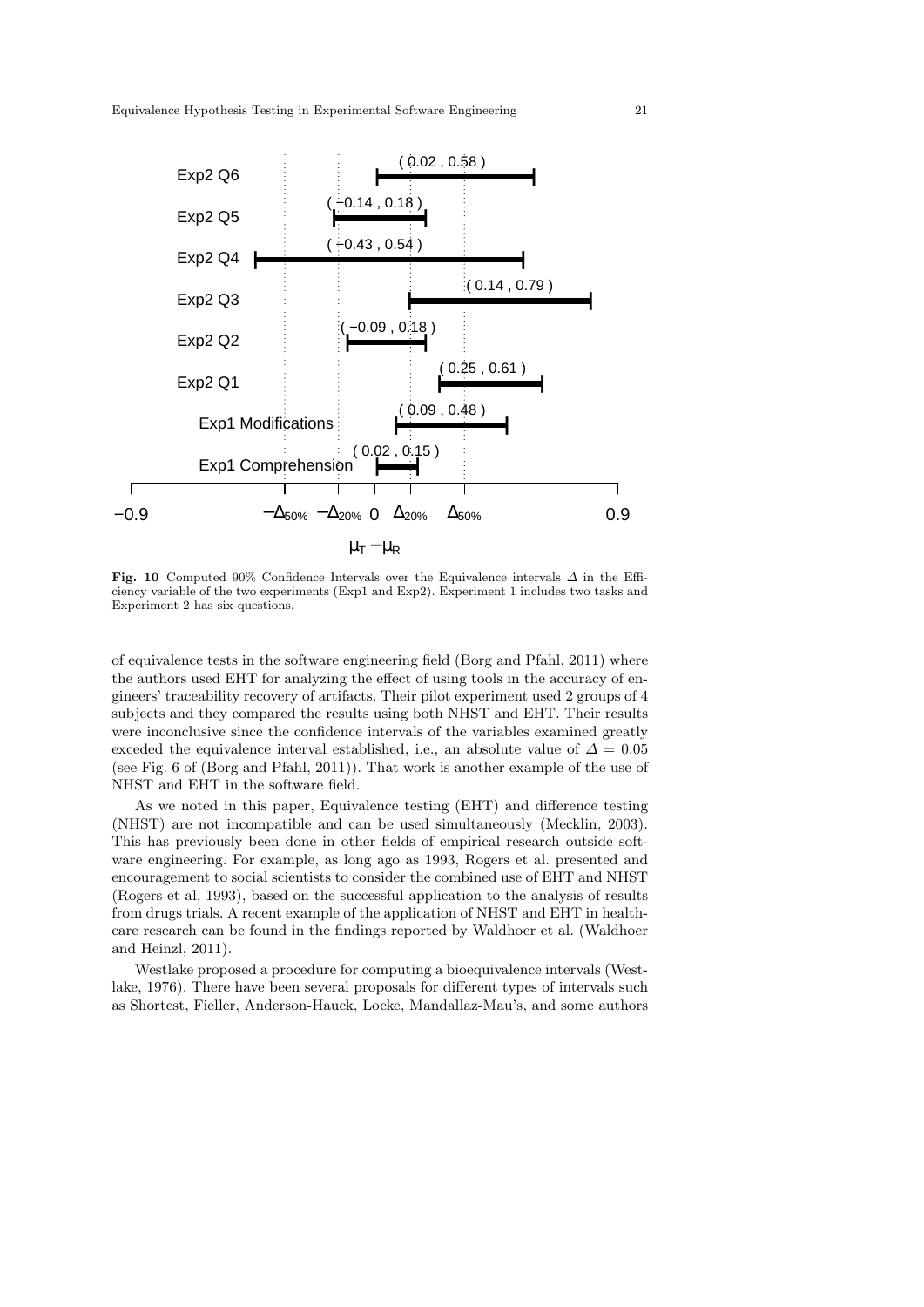

Fig. 10 Computed 90% Confidence Intervals over the Equivalence intervals  $\Delta$  in the Efficiency variable of the two experiments (Exp1 and Exp2). Experiment 1 includes two tasks and Experiment 2 has six questions.

of equivalence tests in the software engineering field (Borg and Pfahl, 2011) where the authors used EHT for analyzing the effect of using tools in the accuracy of engineers' traceability recovery of artifacts. Their pilot experiment used 2 groups of 4 subjects and they compared the results using both NHST and EHT. Their results were inconclusive since the confidence intervals of the variables examined greatly exceded the equivalence interval established, i.e., an absolute value of  $\Delta = 0.05$ (see Fig. 6 of (Borg and Pfahl, 2011)). That work is another example of the use of NHST and EHT in the software field.

As we noted in this paper, Equivalence testing (EHT) and difference testing (NHST) are not incompatible and can be used simultaneously (Mecklin, 2003). This has previously been done in other fields of empirical research outside software engineering. For example, as long ago as 1993, Rogers et al. presented and encouragement to social scientists to consider the combined use of EHT and NHST (Rogers et al, 1993), based on the successful application to the analysis of results from drugs trials. A recent example of the application of NHST and EHT in healthcare research can be found in the findings reported by Waldhoer et al. (Waldhoer and Heinzl, 2011).

Westlake proposed a procedure for computing a bioequivalence intervals (Westlake, 1976). There have been several proposals for different types of intervals such as Shortest, Fieller, Anderson-Hauck, Locke, Mandallaz-Mau's, and some authors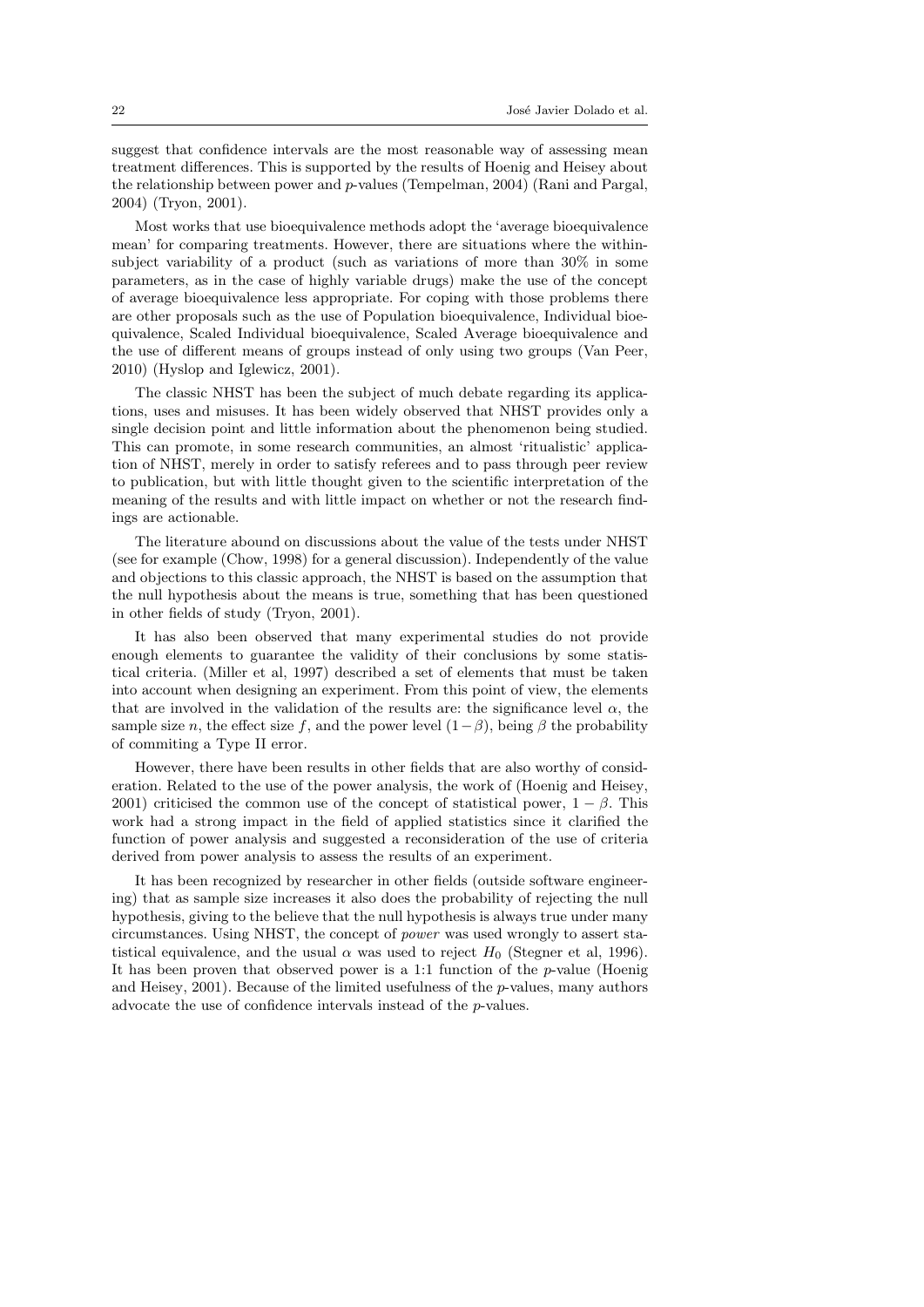suggest that confidence intervals are the most reasonable way of assessing mean treatment differences. This is supported by the results of Hoenig and Heisey about the relationship between power and p-values (Tempelman, 2004) (Rani and Pargal, 2004) (Tryon, 2001).

Most works that use bioequivalence methods adopt the 'average bioequivalence mean' for comparing treatments. However, there are situations where the withinsubject variability of a product (such as variations of more than 30% in some parameters, as in the case of highly variable drugs) make the use of the concept of average bioequivalence less appropriate. For coping with those problems there are other proposals such as the use of Population bioequivalence, Individual bioequivalence, Scaled Individual bioequivalence, Scaled Average bioequivalence and the use of different means of groups instead of only using two groups (Van Peer, 2010) (Hyslop and Iglewicz, 2001).

The classic NHST has been the subject of much debate regarding its applications, uses and misuses. It has been widely observed that NHST provides only a single decision point and little information about the phenomenon being studied. This can promote, in some research communities, an almost 'ritualistic' application of NHST, merely in order to satisfy referees and to pass through peer review to publication, but with little thought given to the scientific interpretation of the meaning of the results and with little impact on whether or not the research findings are actionable.

The literature abound on discussions about the value of the tests under NHST (see for example (Chow, 1998) for a general discussion). Independently of the value and objections to this classic approach, the NHST is based on the assumption that the null hypothesis about the means is true, something that has been questioned in other fields of study (Tryon, 2001).

It has also been observed that many experimental studies do not provide enough elements to guarantee the validity of their conclusions by some statistical criteria. (Miller et al, 1997) described a set of elements that must be taken into account when designing an experiment. From this point of view, the elements that are involved in the validation of the results are: the significance level  $\alpha$ , the sample size n, the effect size f, and the power level  $(1-\beta)$ , being  $\beta$  the probability of commiting a Type II error.

However, there have been results in other fields that are also worthy of consideration. Related to the use of the power analysis, the work of (Hoenig and Heisey, 2001) criticised the common use of the concept of statistical power,  $1 - \beta$ . This work had a strong impact in the field of applied statistics since it clarified the function of power analysis and suggested a reconsideration of the use of criteria derived from power analysis to assess the results of an experiment.

It has been recognized by researcher in other fields (outside software engineering) that as sample size increases it also does the probability of rejecting the null hypothesis, giving to the believe that the null hypothesis is always true under many circumstances. Using NHST, the concept of power was used wrongly to assert statistical equivalence, and the usual  $\alpha$  was used to reject  $H_0$  (Stegner et al, 1996). It has been proven that observed power is a 1:1 function of the p-value (Hoenig and Heisey, 2001). Because of the limited usefulness of the p-values, many authors advocate the use of confidence intervals instead of the p-values.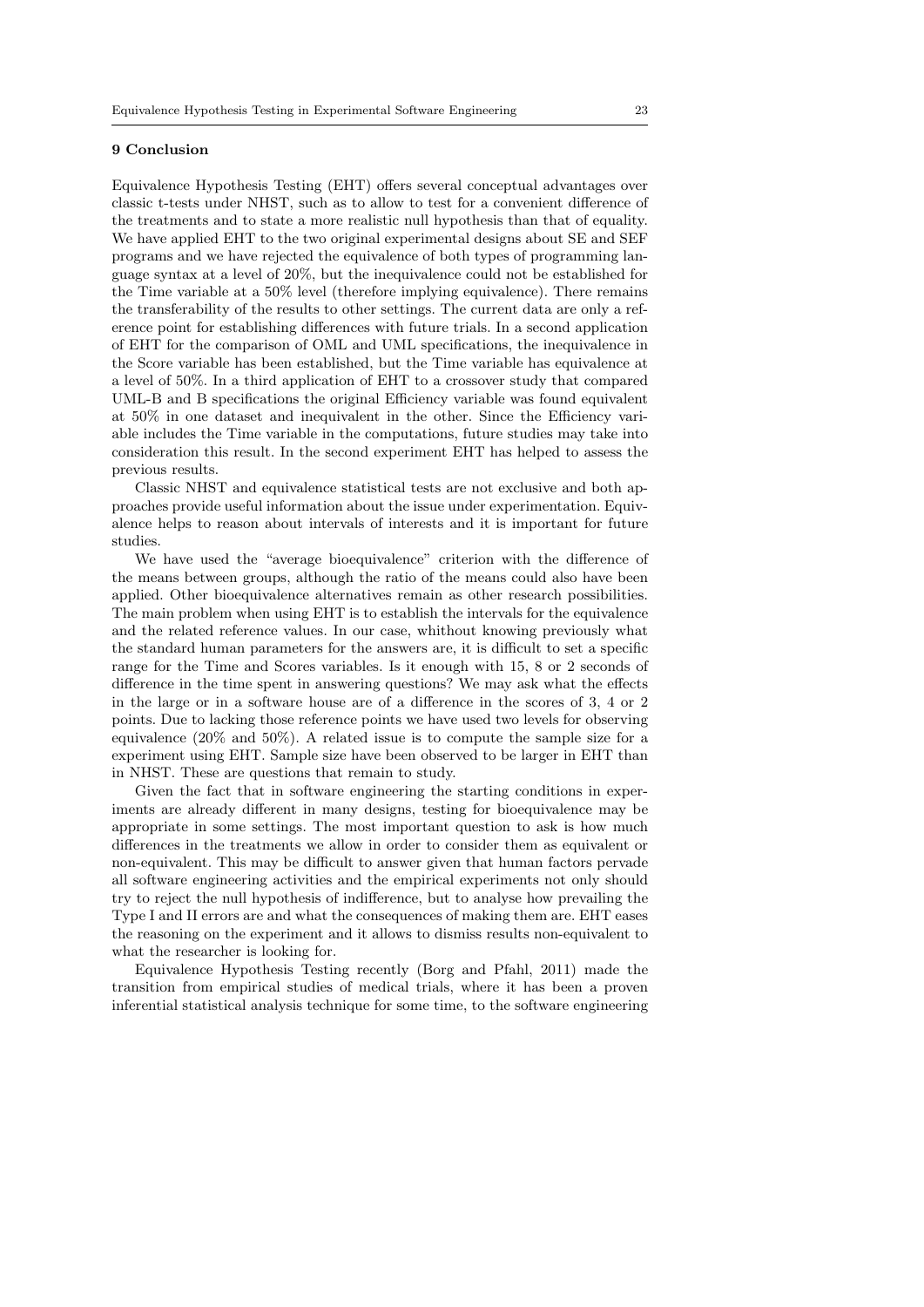#### 9 Conclusion

Equivalence Hypothesis Testing (EHT) offers several conceptual advantages over classic t-tests under NHST, such as to allow to test for a convenient difference of the treatments and to state a more realistic null hypothesis than that of equality. We have applied EHT to the two original experimental designs about SE and SEF programs and we have rejected the equivalence of both types of programming language syntax at a level of 20%, but the inequivalence could not be established for the Time variable at a 50% level (therefore implying equivalence). There remains the transferability of the results to other settings. The current data are only a reference point for establishing differences with future trials. In a second application of EHT for the comparison of OML and UML specifications, the inequivalence in the Score variable has been established, but the Time variable has equivalence at a level of 50%. In a third application of EHT to a crossover study that compared UML-B and B specifications the original Efficiency variable was found equivalent at 50% in one dataset and inequivalent in the other. Since the Efficiency variable includes the Time variable in the computations, future studies may take into consideration this result. In the second experiment EHT has helped to assess the previous results.

Classic NHST and equivalence statistical tests are not exclusive and both approaches provide useful information about the issue under experimentation. Equivalence helps to reason about intervals of interests and it is important for future studies.

We have used the "average bioequivalence" criterion with the difference of the means between groups, although the ratio of the means could also have been applied. Other bioequivalence alternatives remain as other research possibilities. The main problem when using EHT is to establish the intervals for the equivalence and the related reference values. In our case, whithout knowing previously what the standard human parameters for the answers are, it is difficult to set a specific range for the Time and Scores variables. Is it enough with 15, 8 or 2 seconds of difference in the time spent in answering questions? We may ask what the effects in the large or in a software house are of a difference in the scores of 3, 4 or 2 points. Due to lacking those reference points we have used two levels for observing equivalence (20% and 50%). A related issue is to compute the sample size for a experiment using EHT. Sample size have been observed to be larger in EHT than in NHST. These are questions that remain to study.

Given the fact that in software engineering the starting conditions in experiments are already different in many designs, testing for bioequivalence may be appropriate in some settings. The most important question to ask is how much differences in the treatments we allow in order to consider them as equivalent or non-equivalent. This may be difficult to answer given that human factors pervade all software engineering activities and the empirical experiments not only should try to reject the null hypothesis of indifference, but to analyse how prevailing the Type I and II errors are and what the consequences of making them are. EHT eases the reasoning on the experiment and it allows to dismiss results non-equivalent to what the researcher is looking for.

Equivalence Hypothesis Testing recently (Borg and Pfahl, 2011) made the transition from empirical studies of medical trials, where it has been a proven inferential statistical analysis technique for some time, to the software engineering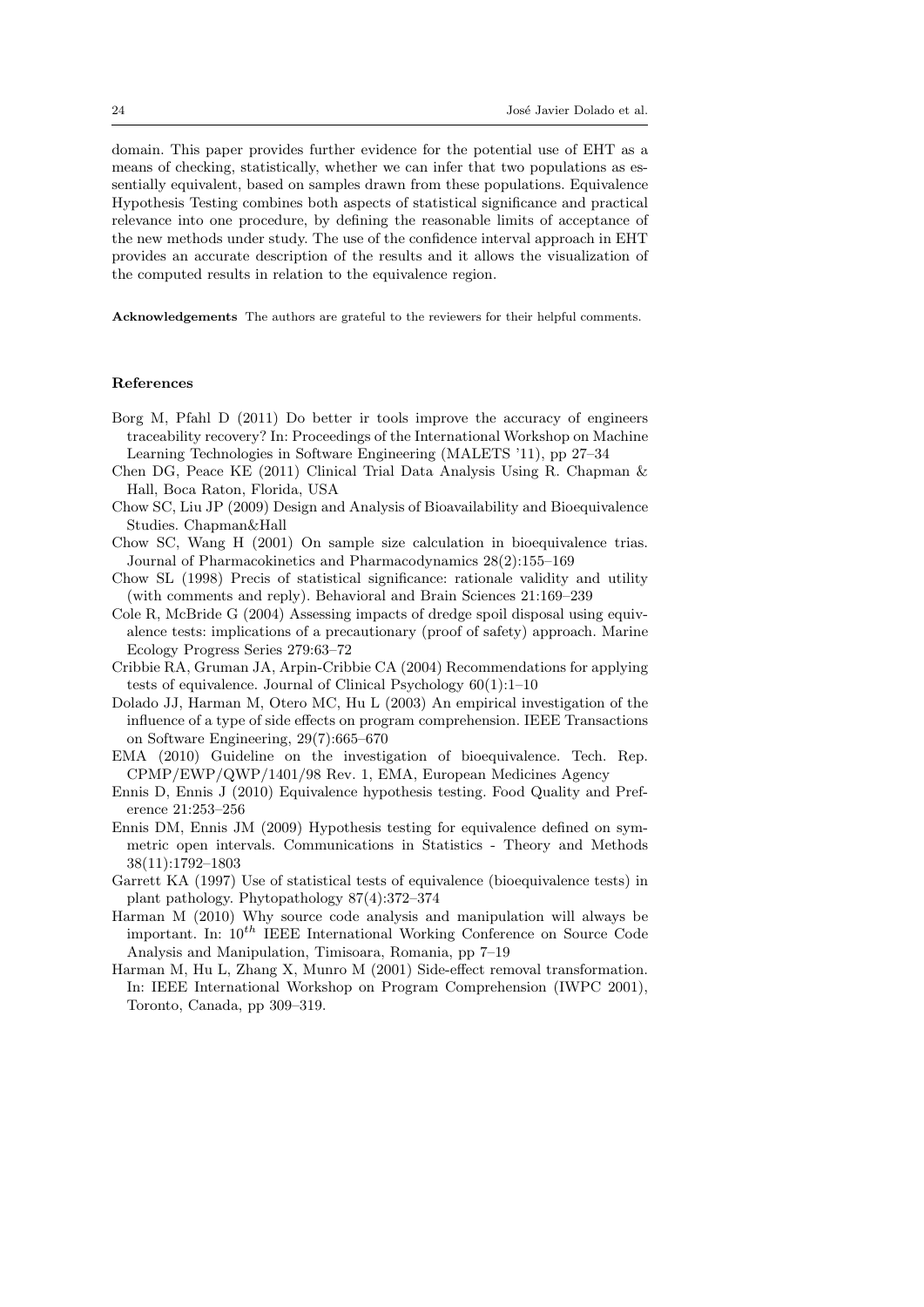domain. This paper provides further evidence for the potential use of EHT as a means of checking, statistically, whether we can infer that two populations as essentially equivalent, based on samples drawn from these populations. Equivalence Hypothesis Testing combines both aspects of statistical significance and practical relevance into one procedure, by defining the reasonable limits of acceptance of the new methods under study. The use of the confidence interval approach in EHT provides an accurate description of the results and it allows the visualization of the computed results in relation to the equivalence region.

Acknowledgements The authors are grateful to the reviewers for their helpful comments.

# References

- Borg M, Pfahl D (2011) Do better ir tools improve the accuracy of engineers traceability recovery? In: Proceedings of the International Workshop on Machine Learning Technologies in Software Engineering (MALETS '11), pp 27–34
- Chen DG, Peace KE (2011) Clinical Trial Data Analysis Using R. Chapman & Hall, Boca Raton, Florida, USA
- Chow SC, Liu JP (2009) Design and Analysis of Bioavailability and Bioequivalence Studies. Chapman&Hall
- Chow SC, Wang H (2001) On sample size calculation in bioequivalence trias. Journal of Pharmacokinetics and Pharmacodynamics 28(2):155–169
- Chow SL (1998) Precis of statistical significance: rationale validity and utility (with comments and reply). Behavioral and Brain Sciences 21:169–239
- Cole R, McBride G (2004) Assessing impacts of dredge spoil disposal using equivalence tests: implications of a precautionary (proof of safety) approach. Marine Ecology Progress Series 279:63–72
- Cribbie RA, Gruman JA, Arpin-Cribbie CA (2004) Recommendations for applying tests of equivalence. Journal of Clinical Psychology 60(1):1–10
- Dolado JJ, Harman M, Otero MC, Hu L (2003) An empirical investigation of the influence of a type of side effects on program comprehension. IEEE Transactions on Software Engineering, 29(7):665–670
- EMA (2010) Guideline on the investigation of bioequivalence. Tech. Rep. CPMP/EWP/QWP/1401/98 Rev. 1, EMA, European Medicines Agency
- Ennis D, Ennis J (2010) Equivalence hypothesis testing. Food Quality and Preference 21:253–256
- Ennis DM, Ennis JM (2009) Hypothesis testing for equivalence defined on symmetric open intervals. Communications in Statistics - Theory and Methods 38(11):1792–1803
- Garrett KA (1997) Use of statistical tests of equivalence (bioequivalence tests) in plant pathology. Phytopathology 87(4):372–374
- Harman M (2010) Why source code analysis and manipulation will always be important. In:  $10^{th}$  IEEE International Working Conference on Source Code Analysis and Manipulation, Timisoara, Romania, pp 7–19
- Harman M, Hu L, Zhang X, Munro M (2001) Side-effect removal transformation. In: IEEE International Workshop on Program Comprehension (IWPC 2001), Toronto, Canada, pp 309–319.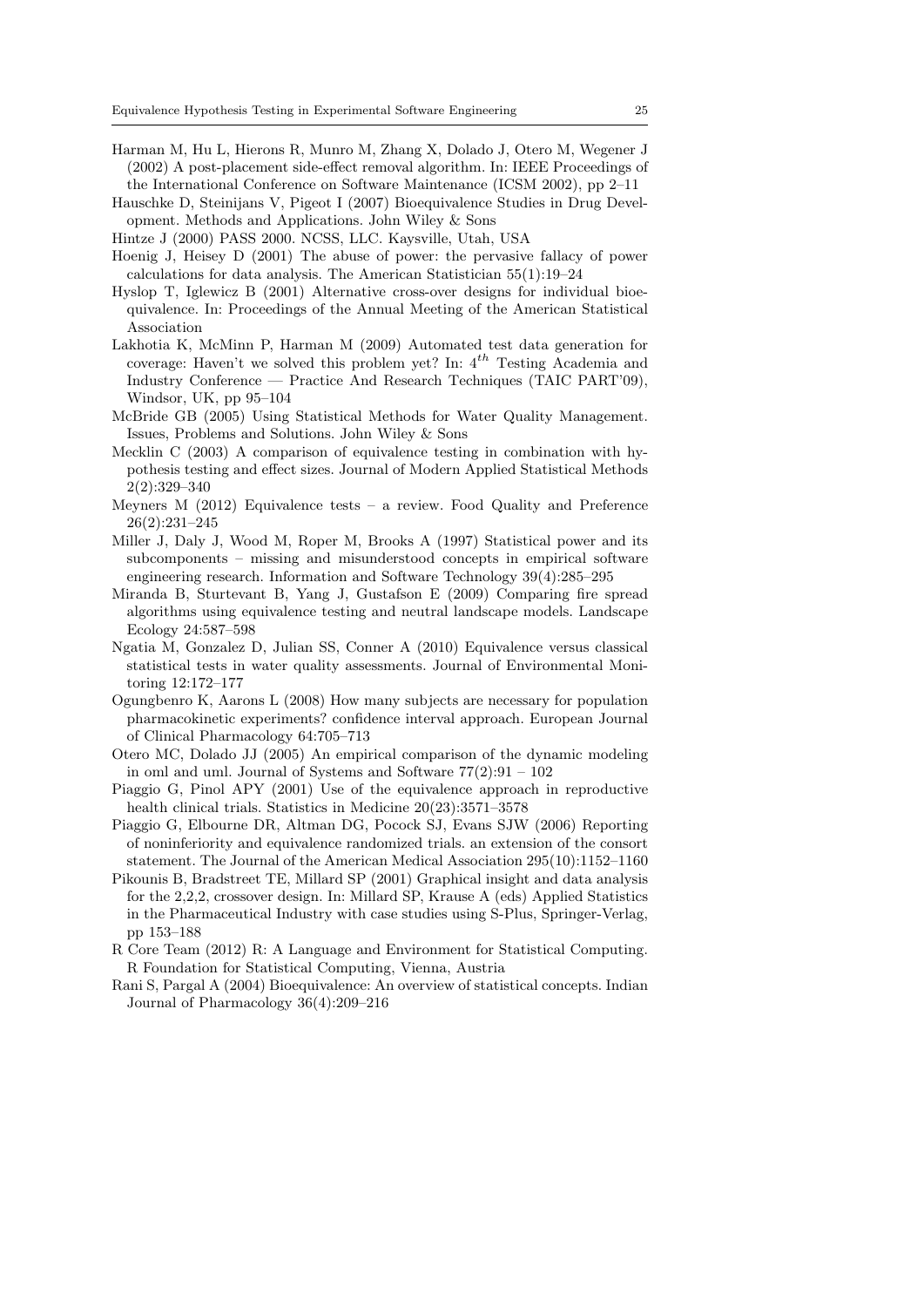- Harman M, Hu L, Hierons R, Munro M, Zhang X, Dolado J, Otero M, Wegener J (2002) A post-placement side-effect removal algorithm. In: IEEE Proceedings of the International Conference on Software Maintenance (ICSM 2002), pp 2–11
- Hauschke D, Steinijans V, Pigeot I (2007) Bioequivalence Studies in Drug Development. Methods and Applications. John Wiley & Sons
- Hintze J (2000) PASS 2000. NCSS, LLC. Kaysville, Utah, USA
- Hoenig J, Heisey D (2001) The abuse of power: the pervasive fallacy of power calculations for data analysis. The American Statistician 55(1):19–24
- Hyslop T, Iglewicz B (2001) Alternative cross-over designs for individual bioequivalence. In: Proceedings of the Annual Meeting of the American Statistical Association
- Lakhotia K, McMinn P, Harman M (2009) Automated test data generation for coverage: Haven't we solved this problem yet? In:  $4^{th}$  Testing Academia and Industry Conference — Practice And Research Techniques (TAIC PART'09), Windsor, UK, pp 95–104
- McBride GB (2005) Using Statistical Methods for Water Quality Management. Issues, Problems and Solutions. John Wiley & Sons
- Mecklin C (2003) A comparison of equivalence testing in combination with hypothesis testing and effect sizes. Journal of Modern Applied Statistical Methods 2(2):329–340
- Meyners M  $(2012)$  Equivalence tests a review. Food Quality and Preference 26(2):231–245
- Miller J, Daly J, Wood M, Roper M, Brooks A (1997) Statistical power and its subcomponents – missing and misunderstood concepts in empirical software engineering research. Information and Software Technology 39(4):285–295
- Miranda B, Sturtevant B, Yang J, Gustafson E (2009) Comparing fire spread algorithms using equivalence testing and neutral landscape models. Landscape Ecology 24:587–598
- Ngatia M, Gonzalez D, Julian SS, Conner A (2010) Equivalence versus classical statistical tests in water quality assessments. Journal of Environmental Monitoring 12:172–177
- Ogungbenro K, Aarons L (2008) How many subjects are necessary for population pharmacokinetic experiments? confidence interval approach. European Journal of Clinical Pharmacology 64:705–713
- Otero MC, Dolado JJ (2005) An empirical comparison of the dynamic modeling in oml and uml. Journal of Systems and Software  $77(2):91 - 102$
- Piaggio G, Pinol APY (2001) Use of the equivalence approach in reproductive health clinical trials. Statistics in Medicine 20(23):3571–3578
- Piaggio G, Elbourne DR, Altman DG, Pocock SJ, Evans SJW (2006) Reporting of noninferiority and equivalence randomized trials. an extension of the consort statement. The Journal of the American Medical Association 295(10):1152–1160
- Pikounis B, Bradstreet TE, Millard SP (2001) Graphical insight and data analysis for the 2,2,2, crossover design. In: Millard SP, Krause A (eds) Applied Statistics in the Pharmaceutical Industry with case studies using S-Plus, Springer-Verlag, pp 153–188
- R Core Team (2012) R: A Language and Environment for Statistical Computing. R Foundation for Statistical Computing, Vienna, Austria
- Rani S, Pargal A (2004) Bioequivalence: An overview of statistical concepts. Indian Journal of Pharmacology 36(4):209–216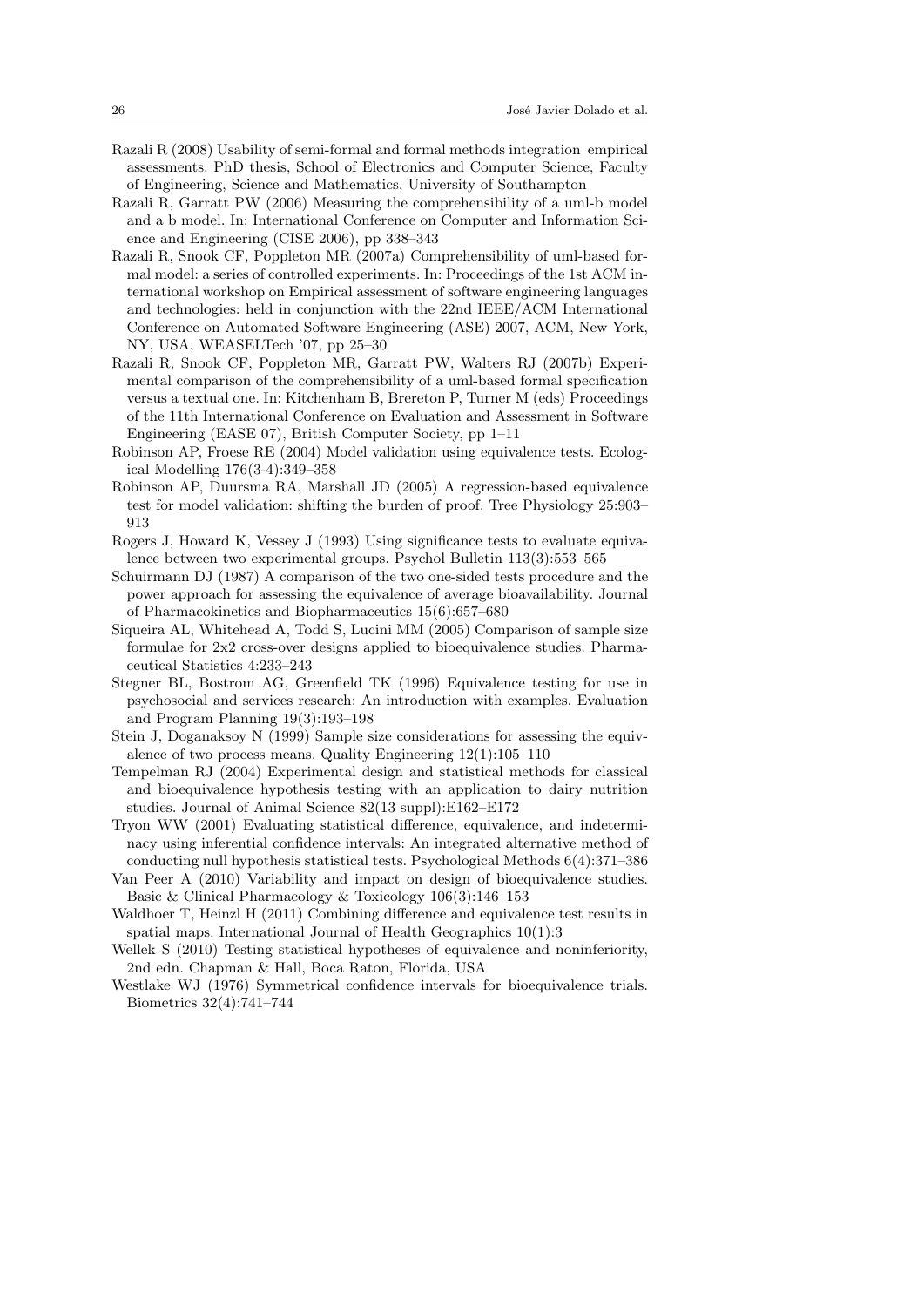- Razali R (2008) Usability of semi-formal and formal methods integration empirical assessments. PhD thesis, School of Electronics and Computer Science, Faculty of Engineering, Science and Mathematics, University of Southampton
- Razali R, Garratt PW (2006) Measuring the comprehensibility of a uml-b model and a b model. In: International Conference on Computer and Information Science and Engineering (CISE 2006), pp 338–343
- Razali R, Snook CF, Poppleton MR (2007a) Comprehensibility of uml-based formal model: a series of controlled experiments. In: Proceedings of the 1st ACM international workshop on Empirical assessment of software engineering languages and technologies: held in conjunction with the 22nd IEEE/ACM International Conference on Automated Software Engineering (ASE) 2007, ACM, New York, NY, USA, WEASELTech '07, pp 25–30
- Razali R, Snook CF, Poppleton MR, Garratt PW, Walters RJ (2007b) Experimental comparison of the comprehensibility of a uml-based formal specification versus a textual one. In: Kitchenham B, Brereton P, Turner M (eds) Proceedings of the 11th International Conference on Evaluation and Assessment in Software Engineering (EASE 07), British Computer Society, pp 1–11
- Robinson AP, Froese RE (2004) Model validation using equivalence tests. Ecological Modelling 176(3-4):349–358
- Robinson AP, Duursma RA, Marshall JD (2005) A regression-based equivalence test for model validation: shifting the burden of proof. Tree Physiology 25:903– 913
- Rogers J, Howard K, Vessey J (1993) Using significance tests to evaluate equivalence between two experimental groups. Psychol Bulletin 113(3):553–565
- Schuirmann DJ (1987) A comparison of the two one-sided tests procedure and the power approach for assessing the equivalence of average bioavailability. Journal of Pharmacokinetics and Biopharmaceutics 15(6):657–680
- Siqueira AL, Whitehead A, Todd S, Lucini MM (2005) Comparison of sample size formulae for 2x2 cross-over designs applied to bioequivalence studies. Pharmaceutical Statistics 4:233–243
- Stegner BL, Bostrom AG, Greenfield TK (1996) Equivalence testing for use in psychosocial and services research: An introduction with examples. Evaluation and Program Planning 19(3):193–198
- Stein J, Doganaksoy N (1999) Sample size considerations for assessing the equivalence of two process means. Quality Engineering 12(1):105–110
- Tempelman RJ (2004) Experimental design and statistical methods for classical and bioequivalence hypothesis testing with an application to dairy nutrition studies. Journal of Animal Science 82(13 suppl):E162–E172
- Tryon WW (2001) Evaluating statistical difference, equivalence, and indeterminacy using inferential confidence intervals: An integrated alternative method of conducting null hypothesis statistical tests. Psychological Methods 6(4):371–386
- Van Peer A (2010) Variability and impact on design of bioequivalence studies. Basic & Clinical Pharmacology & Toxicology 106(3):146–153
- Waldhoer T, Heinzl H (2011) Combining difference and equivalence test results in spatial maps. International Journal of Health Geographics 10(1):3
- Wellek S (2010) Testing statistical hypotheses of equivalence and noninferiority, 2nd edn. Chapman & Hall, Boca Raton, Florida, USA
- Westlake WJ (1976) Symmetrical confidence intervals for bioequivalence trials. Biometrics 32(4):741–744